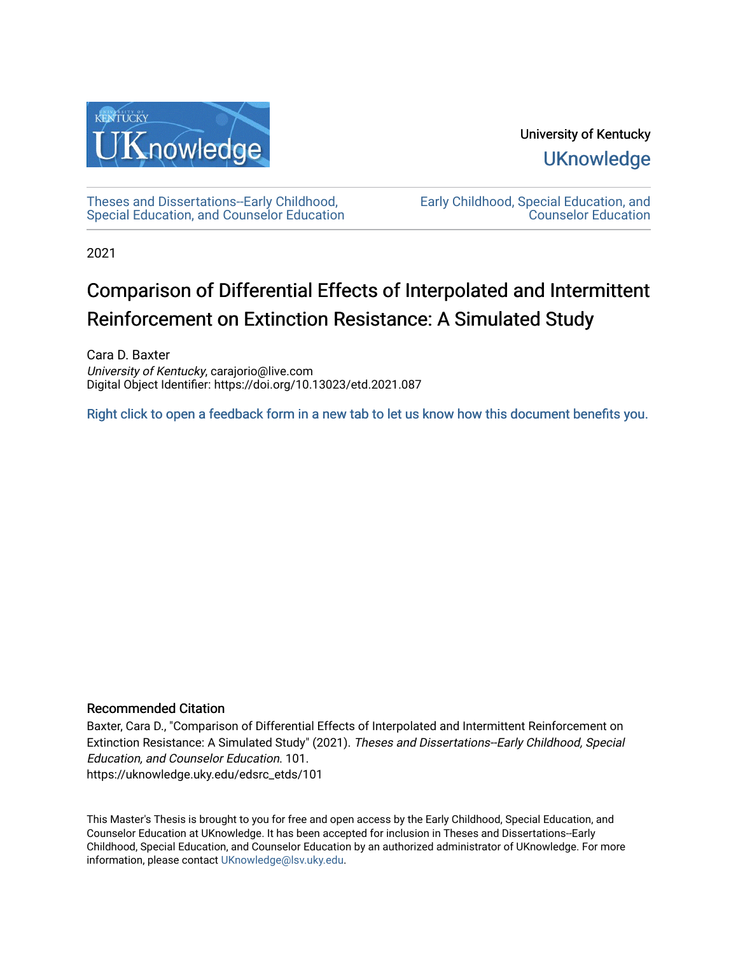

University of Kentucky **UKnowledge** 

[Theses and Dissertations--Early Childhood,](https://uknowledge.uky.edu/edsrc_etds)  [Special Education, and Counselor Education](https://uknowledge.uky.edu/edsrc_etds) [Early Childhood, Special Education, and](https://uknowledge.uky.edu/edsrc)  [Counselor Education](https://uknowledge.uky.edu/edsrc) 

2021

# Comparison of Differential Effects of Interpolated and Intermittent Reinforcement on Extinction Resistance: A Simulated Study

Cara D. Baxter University of Kentucky, carajorio@live.com Digital Object Identifier: https://doi.org/10.13023/etd.2021.087

[Right click to open a feedback form in a new tab to let us know how this document benefits you.](https://uky.az1.qualtrics.com/jfe/form/SV_9mq8fx2GnONRfz7)

### Recommended Citation

Baxter, Cara D., "Comparison of Differential Effects of Interpolated and Intermittent Reinforcement on Extinction Resistance: A Simulated Study" (2021). Theses and Dissertations--Early Childhood, Special Education, and Counselor Education. 101. https://uknowledge.uky.edu/edsrc\_etds/101

This Master's Thesis is brought to you for free and open access by the Early Childhood, Special Education, and Counselor Education at UKnowledge. It has been accepted for inclusion in Theses and Dissertations--Early Childhood, Special Education, and Counselor Education by an authorized administrator of UKnowledge. For more information, please contact [UKnowledge@lsv.uky.edu](mailto:UKnowledge@lsv.uky.edu).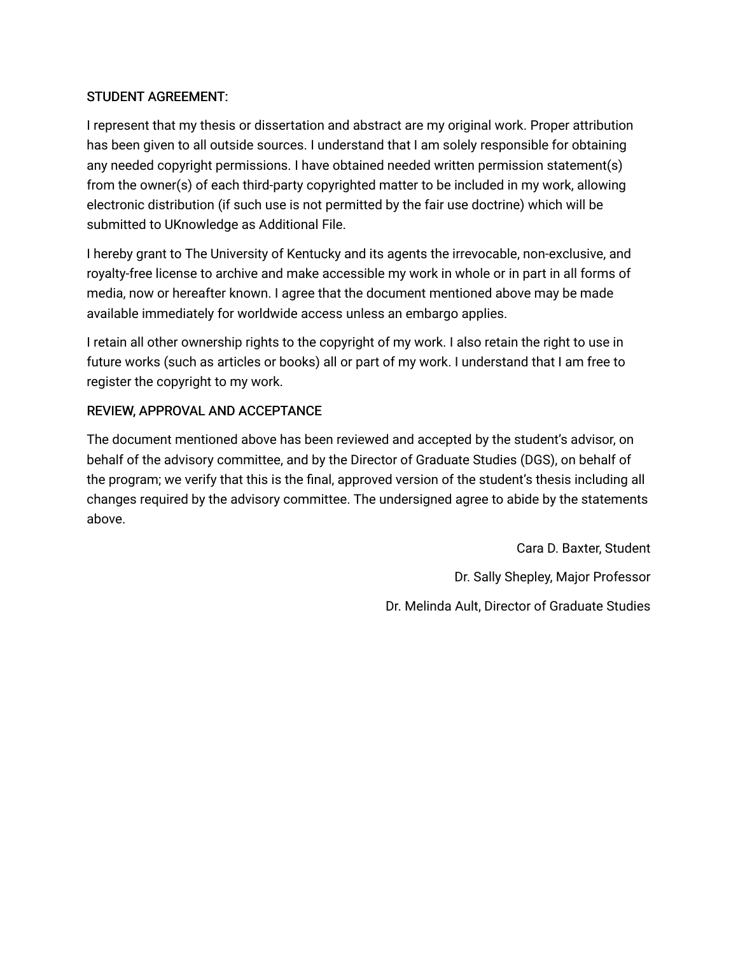### STUDENT AGREEMENT:

I represent that my thesis or dissertation and abstract are my original work. Proper attribution has been given to all outside sources. I understand that I am solely responsible for obtaining any needed copyright permissions. I have obtained needed written permission statement(s) from the owner(s) of each third-party copyrighted matter to be included in my work, allowing electronic distribution (if such use is not permitted by the fair use doctrine) which will be submitted to UKnowledge as Additional File.

I hereby grant to The University of Kentucky and its agents the irrevocable, non-exclusive, and royalty-free license to archive and make accessible my work in whole or in part in all forms of media, now or hereafter known. I agree that the document mentioned above may be made available immediately for worldwide access unless an embargo applies.

I retain all other ownership rights to the copyright of my work. I also retain the right to use in future works (such as articles or books) all or part of my work. I understand that I am free to register the copyright to my work.

### REVIEW, APPROVAL AND ACCEPTANCE

The document mentioned above has been reviewed and accepted by the student's advisor, on behalf of the advisory committee, and by the Director of Graduate Studies (DGS), on behalf of the program; we verify that this is the final, approved version of the student's thesis including all changes required by the advisory committee. The undersigned agree to abide by the statements above.

> Cara D. Baxter, Student Dr. Sally Shepley, Major Professor Dr. Melinda Ault, Director of Graduate Studies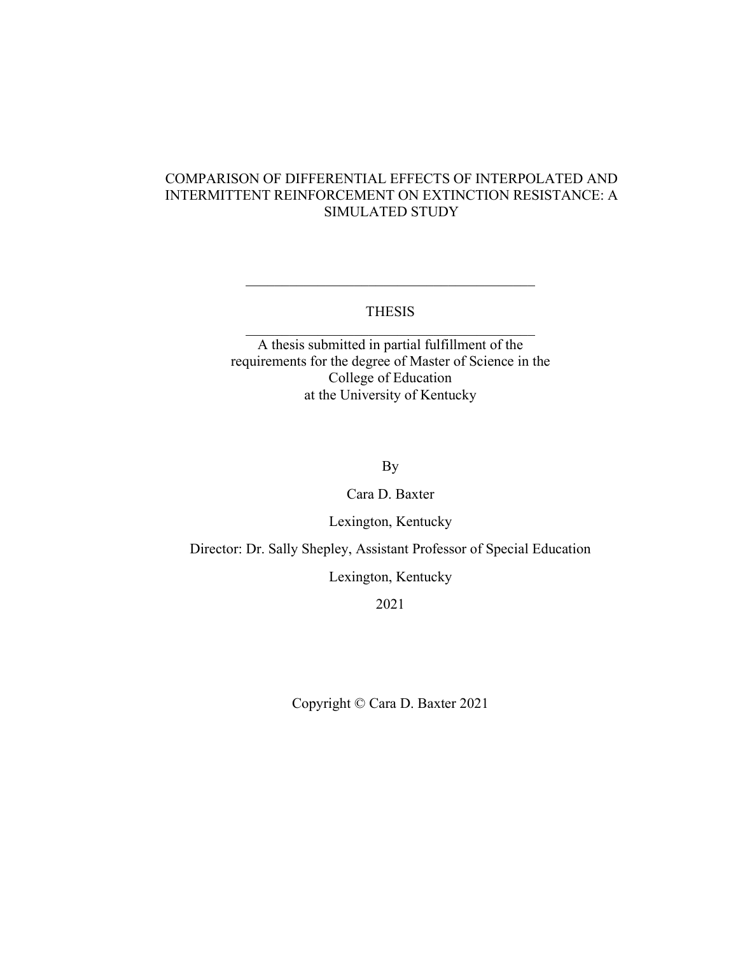### COMPARISON OF DIFFERENTIAL EFFECTS OF INTERPOLATED AND INTERMITTENT REINFORCEMENT ON EXTINCTION RESISTANCE: A SIMULATED STUDY

### THESIS

\_\_\_\_\_\_\_\_\_\_\_\_\_\_\_\_\_\_\_\_\_\_\_\_\_\_\_\_\_\_\_\_\_\_\_\_\_\_\_\_

A thesis submitted in partial fulfillment of the requirements for the degree of Master of Science in the College of Education at the University of Kentucky

By

### Cara D. Baxter

Lexington, Kentucky

Director: Dr. Sally Shepley, Assistant Professor of Special Education

Lexington, Kentucky

2021

Copyright © Cara D. Baxter 2021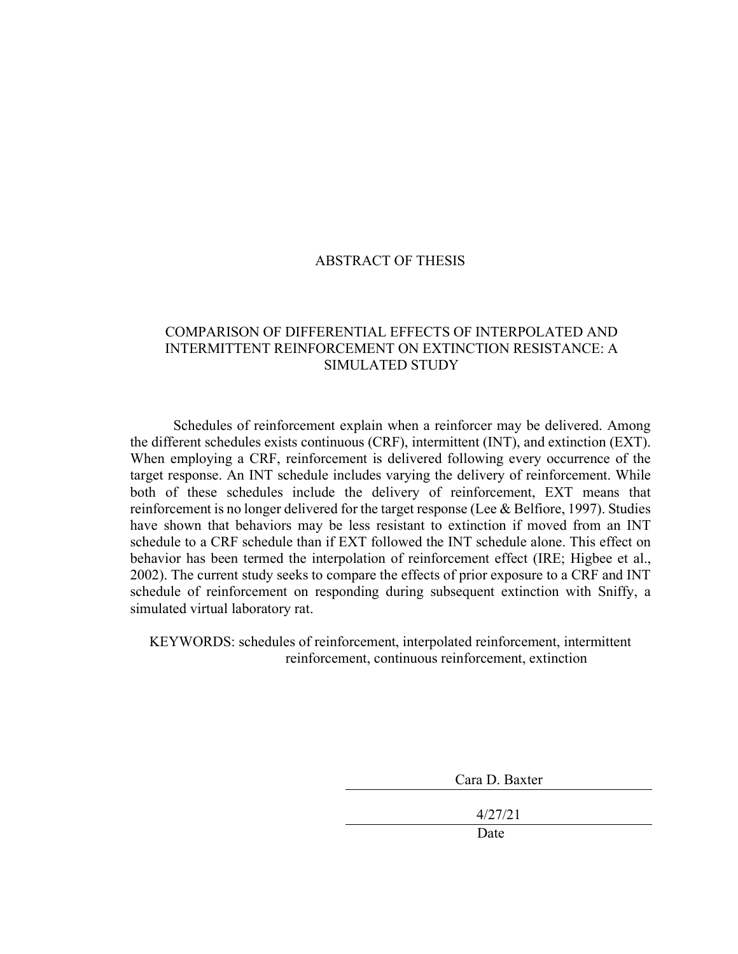### ABSTRACT OF THESIS

### COMPARISON OF DIFFERENTIAL EFFECTS OF INTERPOLATED AND INTERMITTENT REINFORCEMENT ON EXTINCTION RESISTANCE: A SIMULATED STUDY

Schedules of reinforcement explain when a reinforcer may be delivered. Among the different schedules exists continuous (CRF), intermittent (INT), and extinction (EXT). When employing a CRF, reinforcement is delivered following every occurrence of the target response. An INT schedule includes varying the delivery of reinforcement. While both of these schedules include the delivery of reinforcement, EXT means that reinforcement is no longer delivered for the target response (Lee & Belfiore, 1997). Studies have shown that behaviors may be less resistant to extinction if moved from an INT schedule to a CRF schedule than if EXT followed the INT schedule alone. This effect on behavior has been termed the interpolation of reinforcement effect (IRE; Higbee et al., 2002). The current study seeks to compare the effects of prior exposure to a CRF and INT schedule of reinforcement on responding during subsequent extinction with Sniffy, a simulated virtual laboratory rat.

KEYWORDS: schedules of reinforcement, interpolated reinforcement, intermittent reinforcement, continuous reinforcement, extinction

| Cara D. Baxter |
|----------------|
|                |
| 4/27/21        |
| Date           |
|                |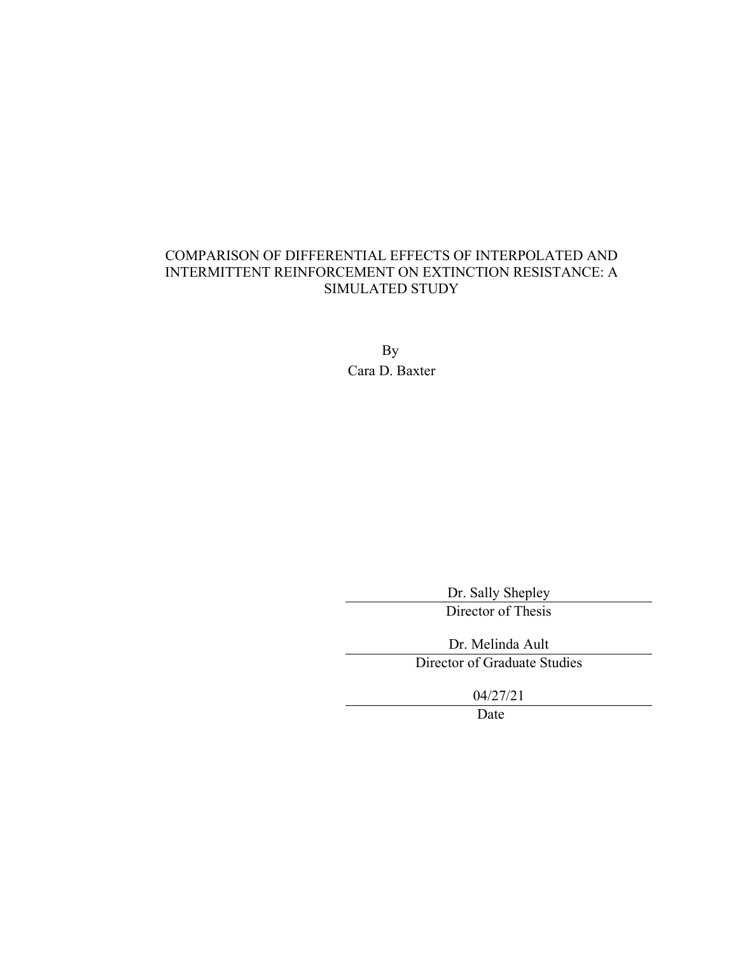### COMPARISON OF DIFFERENTIAL EFFECTS OF INTERPOLATED AND INTERMITTENT REINFORCEMENT ON EXTINCTION RESISTANCE: A SIMULATED STUDY

By Cara D. Baxter

Dr. Sally Shepley

Director of Thesis

Dr. Melinda Ault

Director of Graduate Studies

04/27/21

Date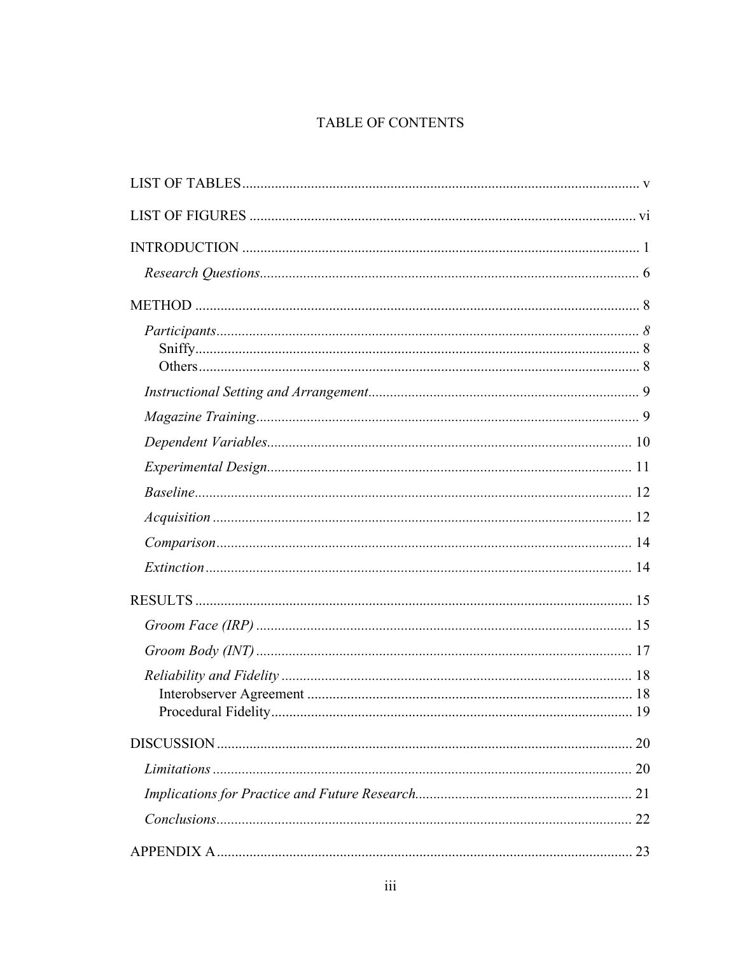# TABLE OF CONTENTS

| 20 |
|----|
| 20 |
|    |
|    |
|    |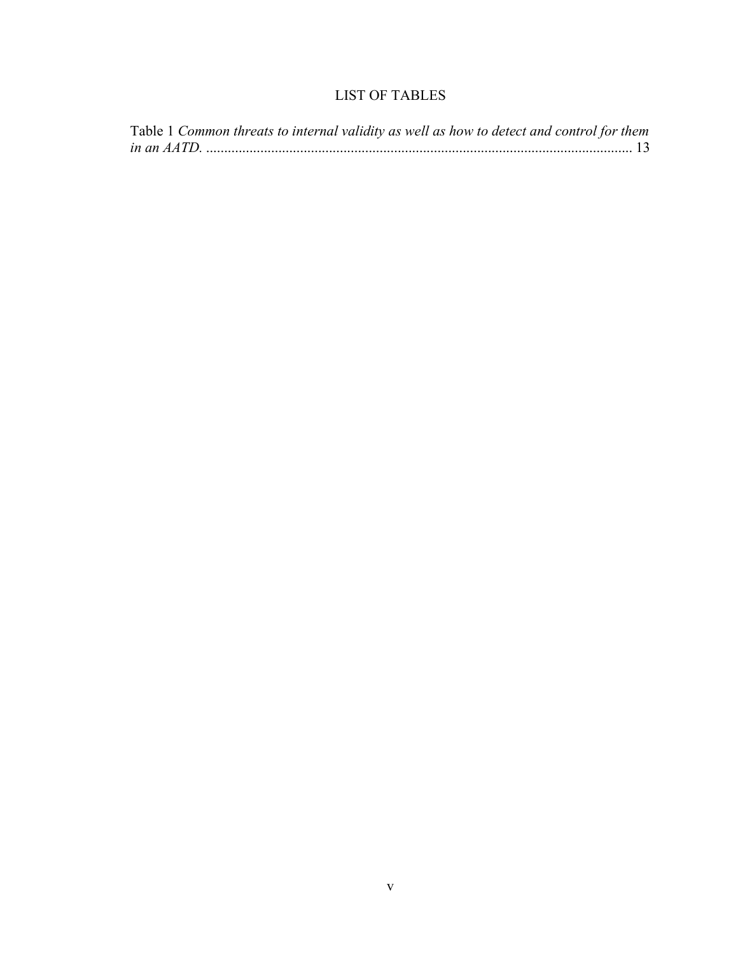# LIST OF TABLES

<span id="page-7-0"></span>

|  |  |  |  | Table 1 Common threats to internal validity as well as how to detect and control for them |  |
|--|--|--|--|-------------------------------------------------------------------------------------------|--|
|  |  |  |  |                                                                                           |  |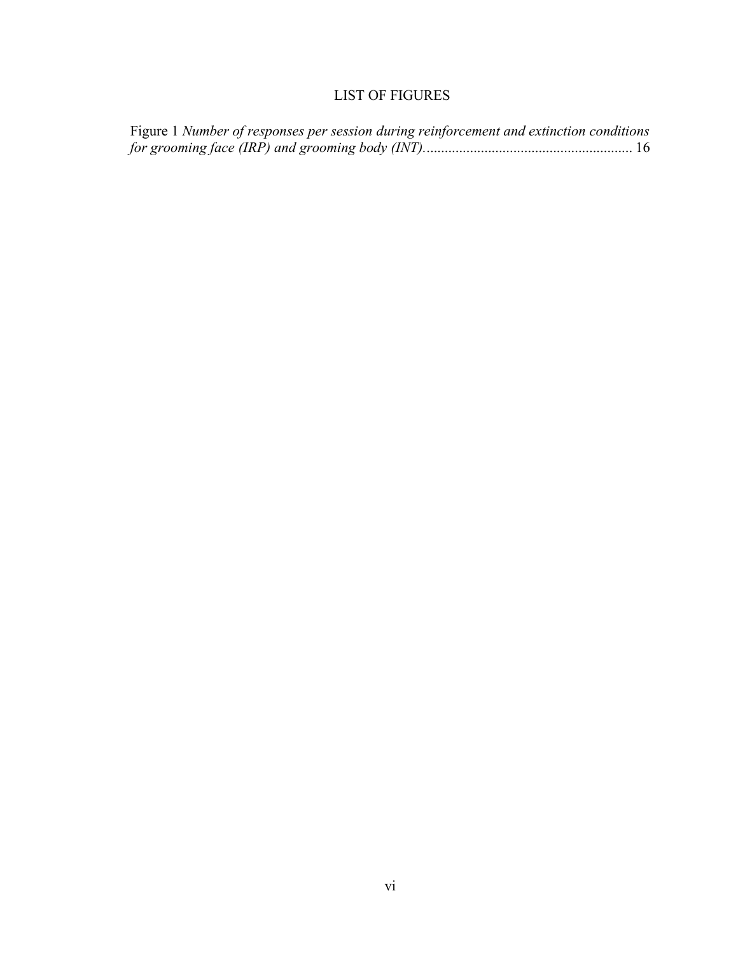# <span id="page-8-0"></span>LIST OF FIGURES

| Figure 1 Number of responses per session during reinforcement and extinction conditions |  |
|-----------------------------------------------------------------------------------------|--|
|                                                                                         |  |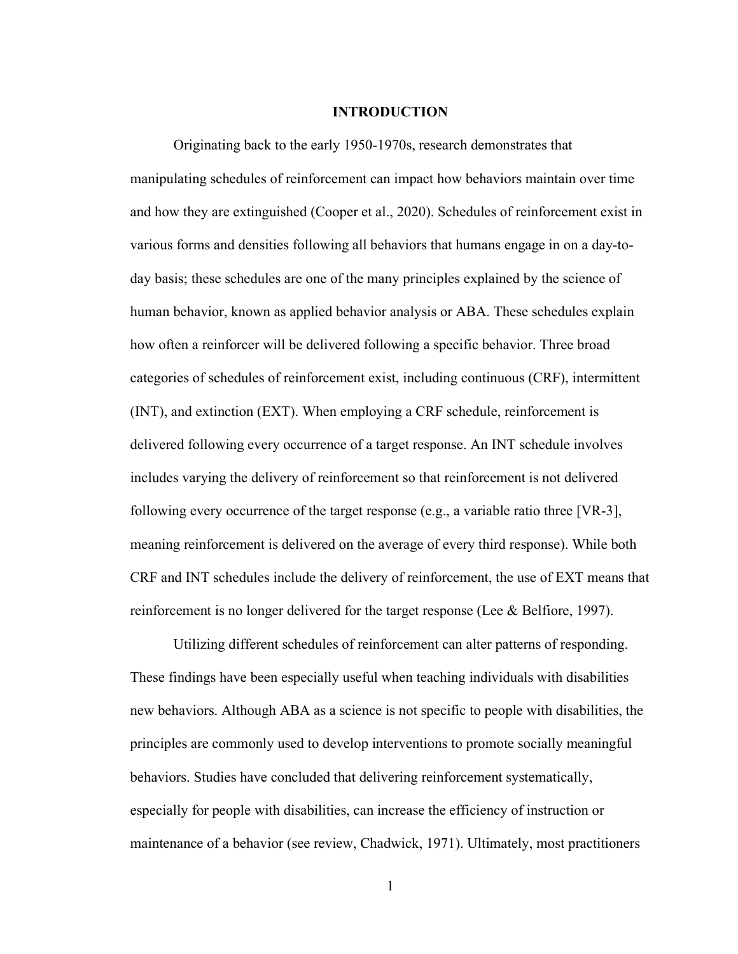#### **INTRODUCTION**

<span id="page-9-0"></span>Originating back to the early 1950-1970s, research demonstrates that manipulating schedules of reinforcement can impact how behaviors maintain over time and how they are extinguished (Cooper et al., 2020). Schedules of reinforcement exist in various forms and densities following all behaviors that humans engage in on a day-today basis; these schedules are one of the many principles explained by the science of human behavior, known as applied behavior analysis or ABA. These schedules explain how often a reinforcer will be delivered following a specific behavior. Three broad categories of schedules of reinforcement exist, including continuous (CRF), intermittent (INT), and extinction (EXT). When employing a CRF schedule, reinforcement is delivered following every occurrence of a target response. An INT schedule involves includes varying the delivery of reinforcement so that reinforcement is not delivered following every occurrence of the target response (e.g., a variable ratio three [VR-3], meaning reinforcement is delivered on the average of every third response). While both CRF and INT schedules include the delivery of reinforcement, the use of EXT means that reinforcement is no longer delivered for the target response (Lee & Belfiore, 1997).

Utilizing different schedules of reinforcement can alter patterns of responding. These findings have been especially useful when teaching individuals with disabilities new behaviors. Although ABA as a science is not specific to people with disabilities, the principles are commonly used to develop interventions to promote socially meaningful behaviors. Studies have concluded that delivering reinforcement systematically, especially for people with disabilities, can increase the efficiency of instruction or maintenance of a behavior (see review, Chadwick, 1971). Ultimately, most practitioners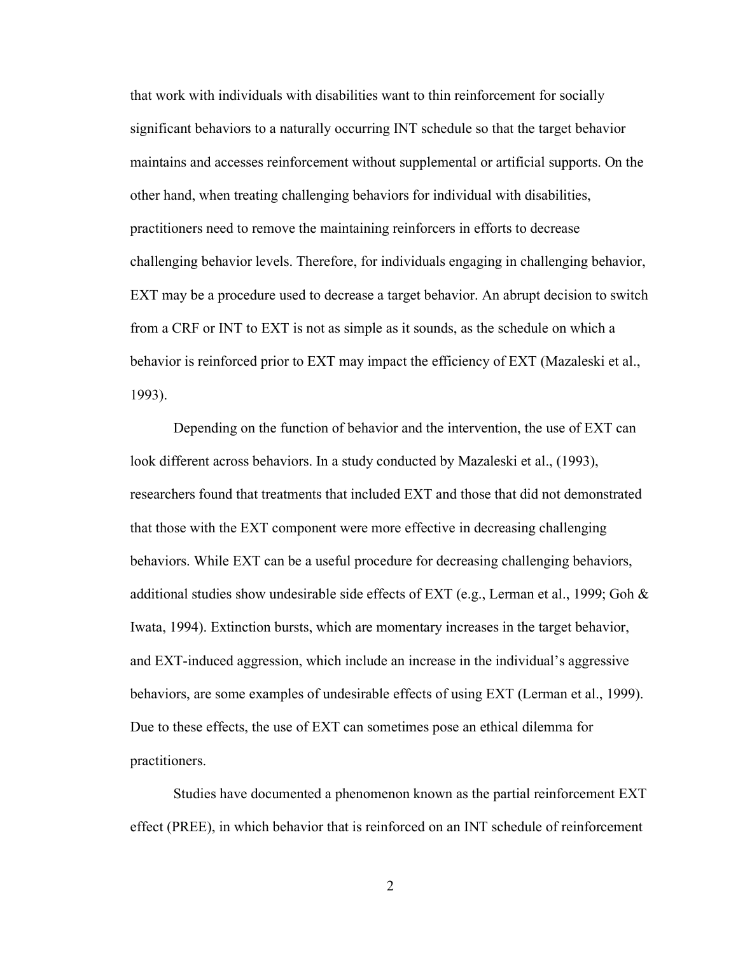that work with individuals with disabilities want to thin reinforcement for socially significant behaviors to a naturally occurring INT schedule so that the target behavior maintains and accesses reinforcement without supplemental or artificial supports. On the other hand, when treating challenging behaviors for individual with disabilities, practitioners need to remove the maintaining reinforcers in efforts to decrease challenging behavior levels. Therefore, for individuals engaging in challenging behavior, EXT may be a procedure used to decrease a target behavior. An abrupt decision to switch from a CRF or INT to EXT is not as simple as it sounds, as the schedule on which a behavior is reinforced prior to EXT may impact the efficiency of EXT (Mazaleski et al., 1993).

Depending on the function of behavior and the intervention, the use of EXT can look different across behaviors. In a study conducted by Mazaleski et al., (1993), researchers found that treatments that included EXT and those that did not demonstrated that those with the EXT component were more effective in decreasing challenging behaviors. While EXT can be a useful procedure for decreasing challenging behaviors, additional studies show undesirable side effects of EXT (e.g., Lerman et al., 1999; Goh  $\&$ Iwata, 1994). Extinction bursts, which are momentary increases in the target behavior, and EXT-induced aggression, which include an increase in the individual's aggressive behaviors, are some examples of undesirable effects of using EXT (Lerman et al., 1999). Due to these effects, the use of EXT can sometimes pose an ethical dilemma for practitioners.

Studies have documented a phenomenon known as the partial reinforcement EXT effect (PREE), in which behavior that is reinforced on an INT schedule of reinforcement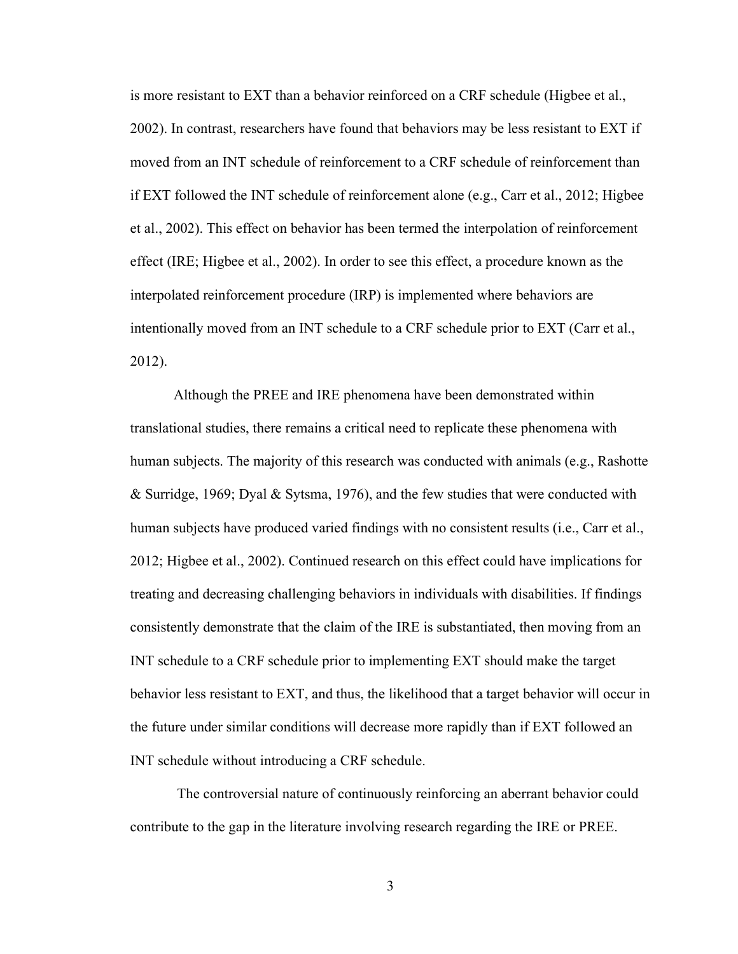is more resistant to EXT than a behavior reinforced on a CRF schedule (Higbee et al., 2002). In contrast, researchers have found that behaviors may be less resistant to EXT if moved from an INT schedule of reinforcement to a CRF schedule of reinforcement than if EXT followed the INT schedule of reinforcement alone (e.g., Carr et al., 2012; Higbee et al., 2002). This effect on behavior has been termed the interpolation of reinforcement effect (IRE; Higbee et al., 2002). In order to see this effect, a procedure known as the interpolated reinforcement procedure (IRP) is implemented where behaviors are intentionally moved from an INT schedule to a CRF schedule prior to EXT (Carr et al., 2012).

Although the PREE and IRE phenomena have been demonstrated within translational studies, there remains a critical need to replicate these phenomena with human subjects. The majority of this research was conducted with animals (e.g., Rashotte & Surridge, 1969; Dyal & Sytsma, 1976), and the few studies that were conducted with human subjects have produced varied findings with no consistent results (i.e., Carr et al., 2012; Higbee et al., 2002). Continued research on this effect could have implications for treating and decreasing challenging behaviors in individuals with disabilities. If findings consistently demonstrate that the claim of the IRE is substantiated, then moving from an INT schedule to a CRF schedule prior to implementing EXT should make the target behavior less resistant to EXT, and thus, the likelihood that a target behavior will occur in the future under similar conditions will decrease more rapidly than if EXT followed an INT schedule without introducing a CRF schedule.

The controversial nature of continuously reinforcing an aberrant behavior could contribute to the gap in the literature involving research regarding the IRE or PREE.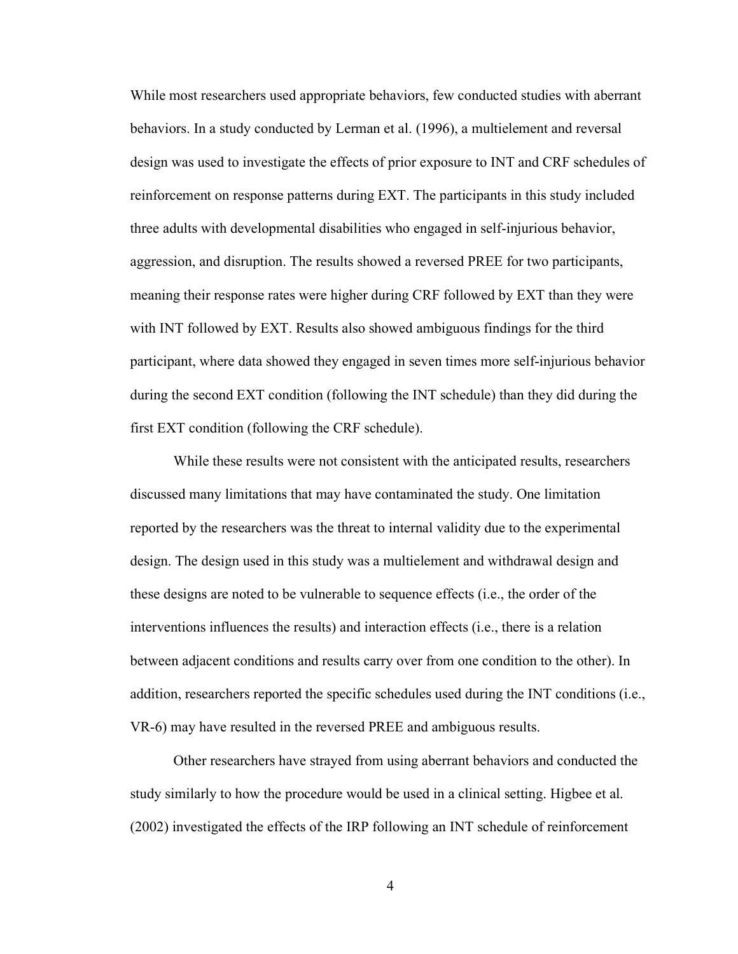While most researchers used appropriate behaviors, few conducted studies with aberrant behaviors. In a study conducted by Lerman et al. (1996), a multielement and reversal design was used to investigate the effects of prior exposure to INT and CRF schedules of reinforcement on response patterns during EXT. The participants in this study included three adults with developmental disabilities who engaged in self-injurious behavior, aggression, and disruption. The results showed a reversed PREE for two participants, meaning their response rates were higher during CRF followed by EXT than they were with INT followed by EXT. Results also showed ambiguous findings for the third participant, where data showed they engaged in seven times more self-injurious behavior during the second EXT condition (following the INT schedule) than they did during the first EXT condition (following the CRF schedule).

While these results were not consistent with the anticipated results, researchers discussed many limitations that may have contaminated the study. One limitation reported by the researchers was the threat to internal validity due to the experimental design. The design used in this study was a multielement and withdrawal design and these designs are noted to be vulnerable to sequence effects (i.e., the order of the interventions influences the results) and interaction effects (i.e., there is a relation between adjacent conditions and results carry over from one condition to the other). In addition, researchers reported the specific schedules used during the INT conditions (i.e., VR-6) may have resulted in the reversed PREE and ambiguous results.

Other researchers have strayed from using aberrant behaviors and conducted the study similarly to how the procedure would be used in a clinical setting. Higbee et al. (2002) investigated the effects of the IRP following an INT schedule of reinforcement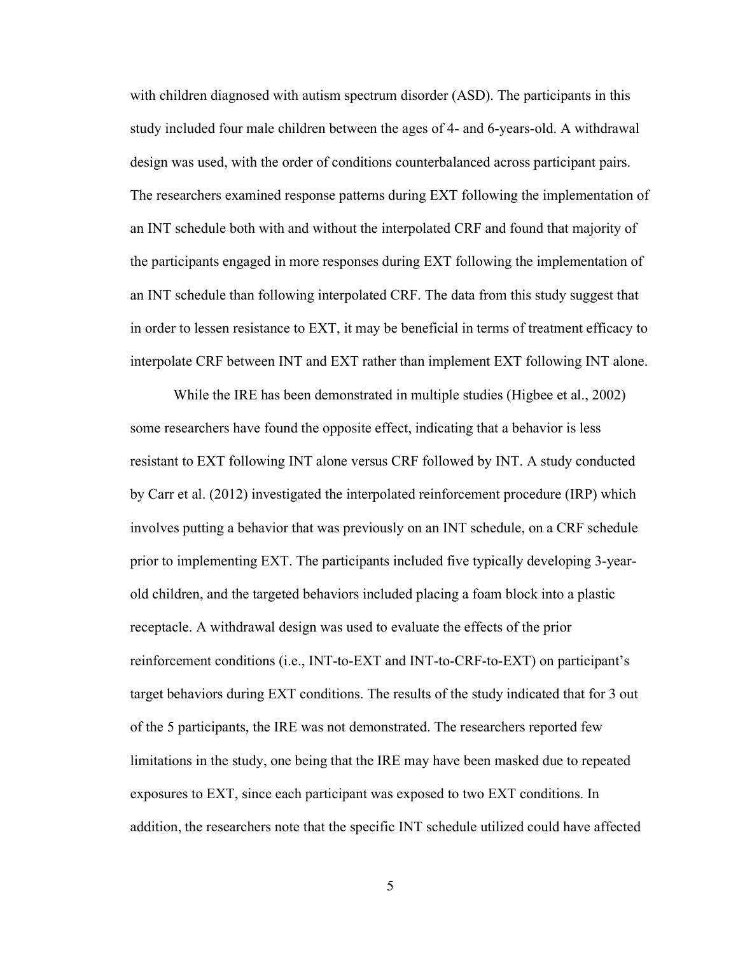with children diagnosed with autism spectrum disorder (ASD). The participants in this study included four male children between the ages of 4- and 6-years-old. A withdrawal design was used, with the order of conditions counterbalanced across participant pairs. The researchers examined response patterns during EXT following the implementation of an INT schedule both with and without the interpolated CRF and found that majority of the participants engaged in more responses during EXT following the implementation of an INT schedule than following interpolated CRF. The data from this study suggest that in order to lessen resistance to EXT, it may be beneficial in terms of treatment efficacy to interpolate CRF between INT and EXT rather than implement EXT following INT alone.

While the IRE has been demonstrated in multiple studies (Higbee et al., 2002) some researchers have found the opposite effect, indicating that a behavior is less resistant to EXT following INT alone versus CRF followed by INT. A study conducted by Carr et al. (2012) investigated the interpolated reinforcement procedure (IRP) which involves putting a behavior that was previously on an INT schedule, on a CRF schedule prior to implementing EXT. The participants included five typically developing 3-yearold children, and the targeted behaviors included placing a foam block into a plastic receptacle. A withdrawal design was used to evaluate the effects of the prior reinforcement conditions (i.e., INT-to-EXT and INT-to-CRF-to-EXT) on participant's target behaviors during EXT conditions. The results of the study indicated that for 3 out of the 5 participants, the IRE was not demonstrated. The researchers reported few limitations in the study, one being that the IRE may have been masked due to repeated exposures to EXT, since each participant was exposed to two EXT conditions. In addition, the researchers note that the specific INT schedule utilized could have affected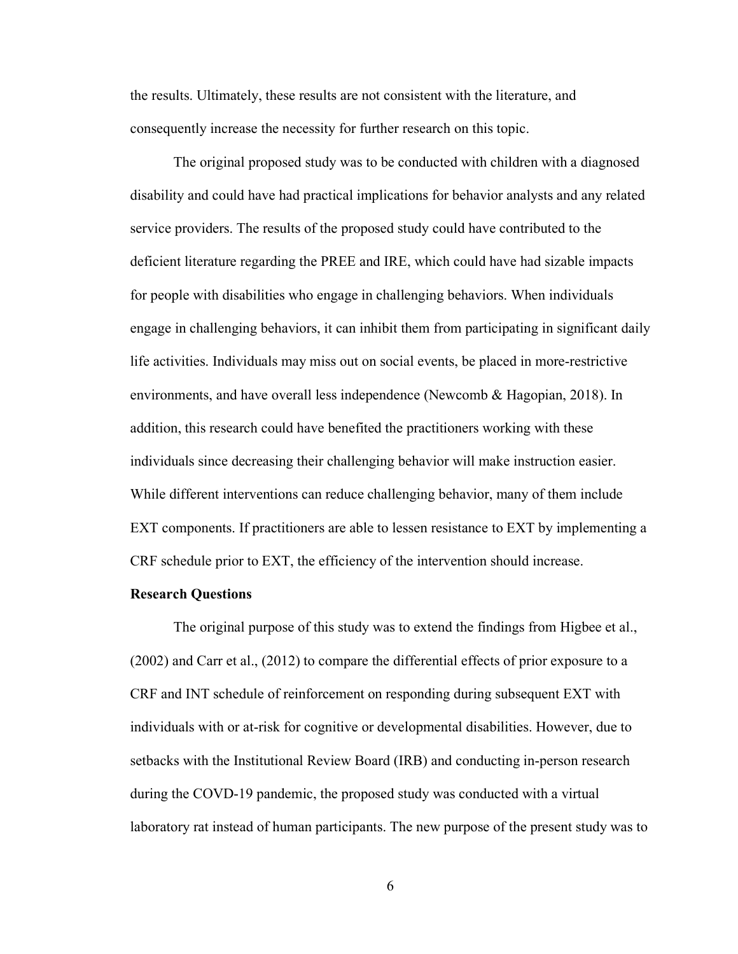the results. Ultimately, these results are not consistent with the literature, and consequently increase the necessity for further research on this topic.

The original proposed study was to be conducted with children with a diagnosed disability and could have had practical implications for behavior analysts and any related service providers. The results of the proposed study could have contributed to the deficient literature regarding the PREE and IRE, which could have had sizable impacts for people with disabilities who engage in challenging behaviors. When individuals engage in challenging behaviors, it can inhibit them from participating in significant daily life activities. Individuals may miss out on social events, be placed in more-restrictive environments, and have overall less independence (Newcomb & Hagopian, 2018). In addition, this research could have benefited the practitioners working with these individuals since decreasing their challenging behavior will make instruction easier. While different interventions can reduce challenging behavior, many of them include EXT components. If practitioners are able to lessen resistance to EXT by implementing a CRF schedule prior to EXT, the efficiency of the intervention should increase.

#### <span id="page-14-0"></span>**Research Questions**

The original purpose of this study was to extend the findings from Higbee et al., (2002) and Carr et al., (2012) to compare the differential effects of prior exposure to a CRF and INT schedule of reinforcement on responding during subsequent EXT with individuals with or at-risk for cognitive or developmental disabilities. However, due to setbacks with the Institutional Review Board (IRB) and conducting in-person research during the COVD-19 pandemic, the proposed study was conducted with a virtual laboratory rat instead of human participants. The new purpose of the present study was to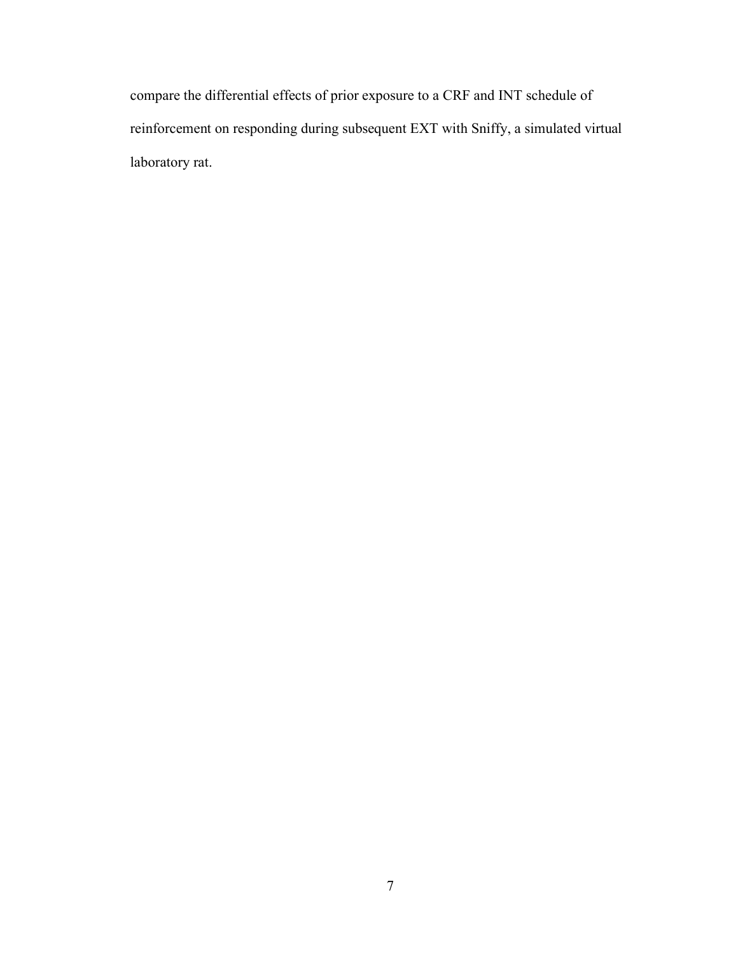compare the differential effects of prior exposure to a CRF and INT schedule of reinforcement on responding during subsequent EXT with Sniffy, a simulated virtual laboratory rat.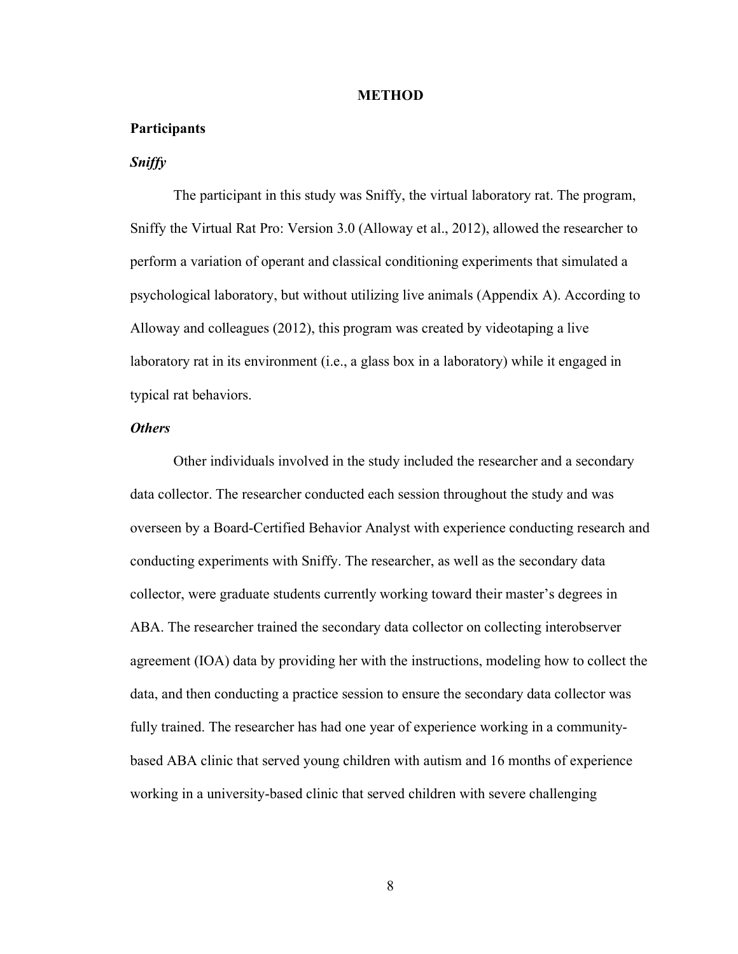#### **METHOD**

#### <span id="page-16-1"></span><span id="page-16-0"></span>**Participants**

### <span id="page-16-2"></span>*Sniffy*

The participant in this study was Sniffy, the virtual laboratory rat. The program, Sniffy the Virtual Rat Pro: Version 3.0 (Alloway et al., 2012), allowed the researcher to perform a variation of operant and classical conditioning experiments that simulated a psychological laboratory, but without utilizing live animals (Appendix A). According to Alloway and colleagues (2012), this program was created by videotaping a live laboratory rat in its environment (i.e., a glass box in a laboratory) while it engaged in typical rat behaviors.

#### <span id="page-16-3"></span>*Others*

Other individuals involved in the study included the researcher and a secondary data collector. The researcher conducted each session throughout the study and was overseen by a Board-Certified Behavior Analyst with experience conducting research and conducting experiments with Sniffy. The researcher, as well as the secondary data collector, were graduate students currently working toward their master's degrees in ABA. The researcher trained the secondary data collector on collecting interobserver agreement (IOA) data by providing her with the instructions, modeling how to collect the data, and then conducting a practice session to ensure the secondary data collector was fully trained. The researcher has had one year of experience working in a communitybased ABA clinic that served young children with autism and 16 months of experience working in a university-based clinic that served children with severe challenging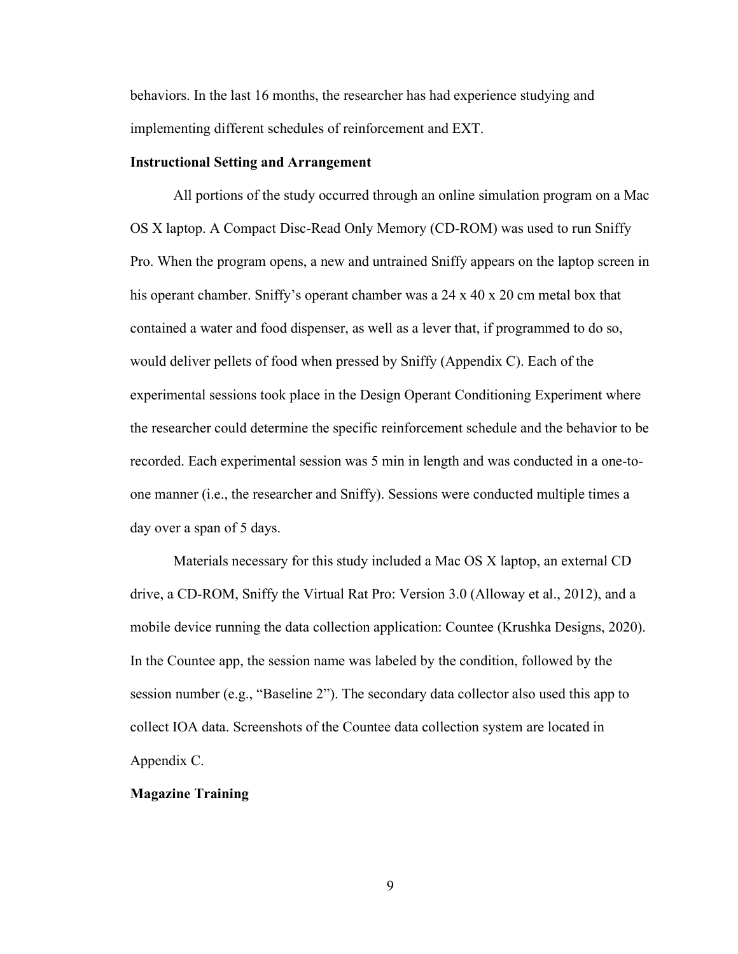behaviors. In the last 16 months, the researcher has had experience studying and implementing different schedules of reinforcement and EXT.

#### <span id="page-17-0"></span>**Instructional Setting and Arrangement**

All portions of the study occurred through an online simulation program on a Mac OS X laptop. A Compact Disc-Read Only Memory (CD-ROM) was used to run Sniffy Pro. When the program opens, a new and untrained Sniffy appears on the laptop screen in his operant chamber. Sniffy's operant chamber was a 24 x 40 x 20 cm metal box that contained a water and food dispenser, as well as a lever that, if programmed to do so, would deliver pellets of food when pressed by Sniffy (Appendix C). Each of the experimental sessions took place in the Design Operant Conditioning Experiment where the researcher could determine the specific reinforcement schedule and the behavior to be recorded. Each experimental session was 5 min in length and was conducted in a one-toone manner (i.e., the researcher and Sniffy). Sessions were conducted multiple times a day over a span of 5 days.

Materials necessary for this study included a Mac OS X laptop, an external CD drive, a CD-ROM, Sniffy the Virtual Rat Pro: Version 3.0 (Alloway et al., 2012), and a mobile device running the data collection application: Countee (Krushka Designs, 2020). In the Countee app, the session name was labeled by the condition, followed by the session number (e.g., "Baseline 2"). The secondary data collector also used this app to collect IOA data. Screenshots of the Countee data collection system are located in Appendix C.

#### <span id="page-17-1"></span>**Magazine Training**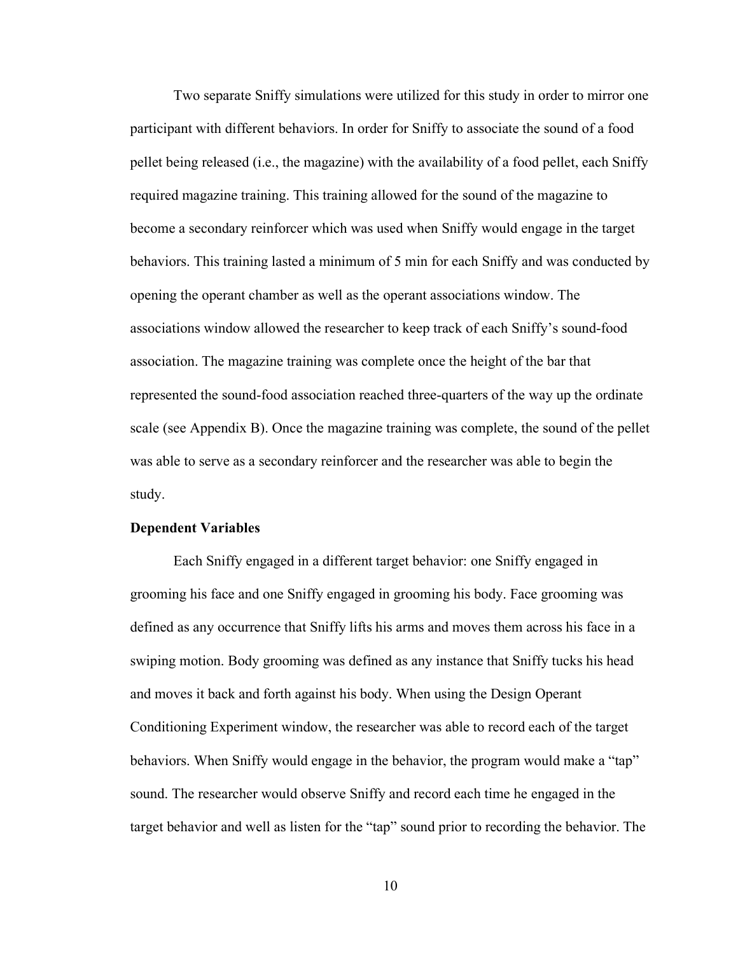Two separate Sniffy simulations were utilized for this study in order to mirror one participant with different behaviors. In order for Sniffy to associate the sound of a food pellet being released (i.e., the magazine) with the availability of a food pellet, each Sniffy required magazine training. This training allowed for the sound of the magazine to become a secondary reinforcer which was used when Sniffy would engage in the target behaviors. This training lasted a minimum of 5 min for each Sniffy and was conducted by opening the operant chamber as well as the operant associations window. The associations window allowed the researcher to keep track of each Sniffy's sound-food association. The magazine training was complete once the height of the bar that represented the sound-food association reached three-quarters of the way up the ordinate scale (see Appendix B). Once the magazine training was complete, the sound of the pellet was able to serve as a secondary reinforcer and the researcher was able to begin the study.

#### <span id="page-18-0"></span>**Dependent Variables**

Each Sniffy engaged in a different target behavior: one Sniffy engaged in grooming his face and one Sniffy engaged in grooming his body. Face grooming was defined as any occurrence that Sniffy lifts his arms and moves them across his face in a swiping motion. Body grooming was defined as any instance that Sniffy tucks his head and moves it back and forth against his body. When using the Design Operant Conditioning Experiment window, the researcher was able to record each of the target behaviors. When Sniffy would engage in the behavior, the program would make a "tap" sound. The researcher would observe Sniffy and record each time he engaged in the target behavior and well as listen for the "tap" sound prior to recording the behavior. The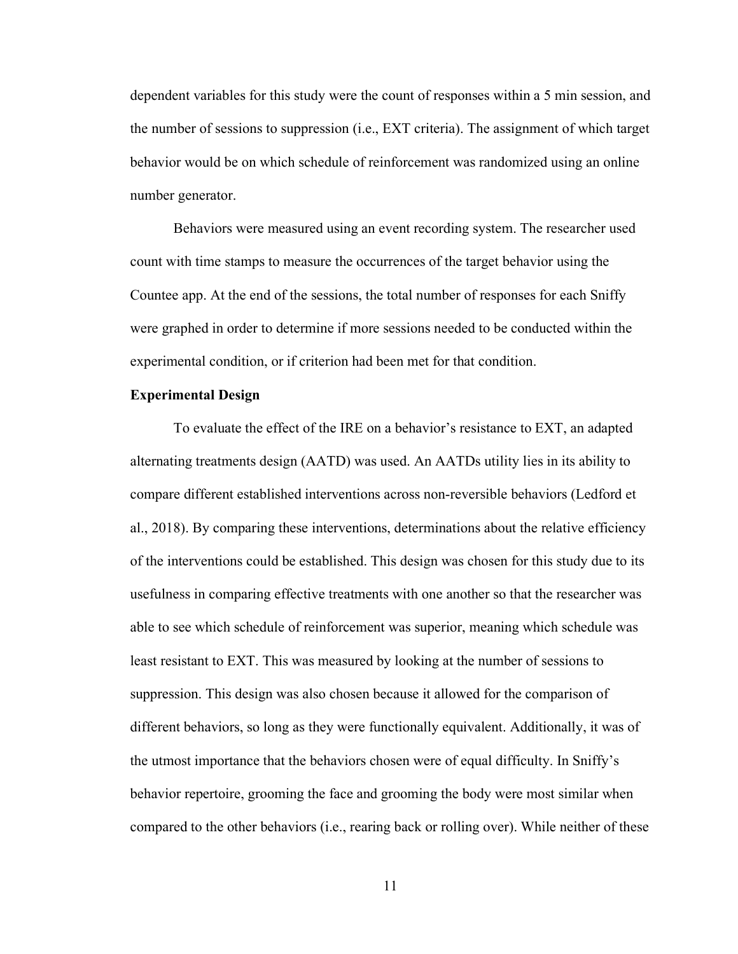dependent variables for this study were the count of responses within a 5 min session, and the number of sessions to suppression (i.e., EXT criteria). The assignment of which target behavior would be on which schedule of reinforcement was randomized using an online number generator.

Behaviors were measured using an event recording system. The researcher used count with time stamps to measure the occurrences of the target behavior using the Countee app. At the end of the sessions, the total number of responses for each Sniffy were graphed in order to determine if more sessions needed to be conducted within the experimental condition, or if criterion had been met for that condition.

#### <span id="page-19-0"></span>**Experimental Design**

To evaluate the effect of the IRE on a behavior's resistance to EXT, an adapted alternating treatments design (AATD) was used. An AATDs utility lies in its ability to compare different established interventions across non-reversible behaviors (Ledford et al., 2018). By comparing these interventions, determinations about the relative efficiency of the interventions could be established. This design was chosen for this study due to its usefulness in comparing effective treatments with one another so that the researcher was able to see which schedule of reinforcement was superior, meaning which schedule was least resistant to EXT. This was measured by looking at the number of sessions to suppression. This design was also chosen because it allowed for the comparison of different behaviors, so long as they were functionally equivalent. Additionally, it was of the utmost importance that the behaviors chosen were of equal difficulty. In Sniffy's behavior repertoire, grooming the face and grooming the body were most similar when compared to the other behaviors (i.e., rearing back or rolling over). While neither of these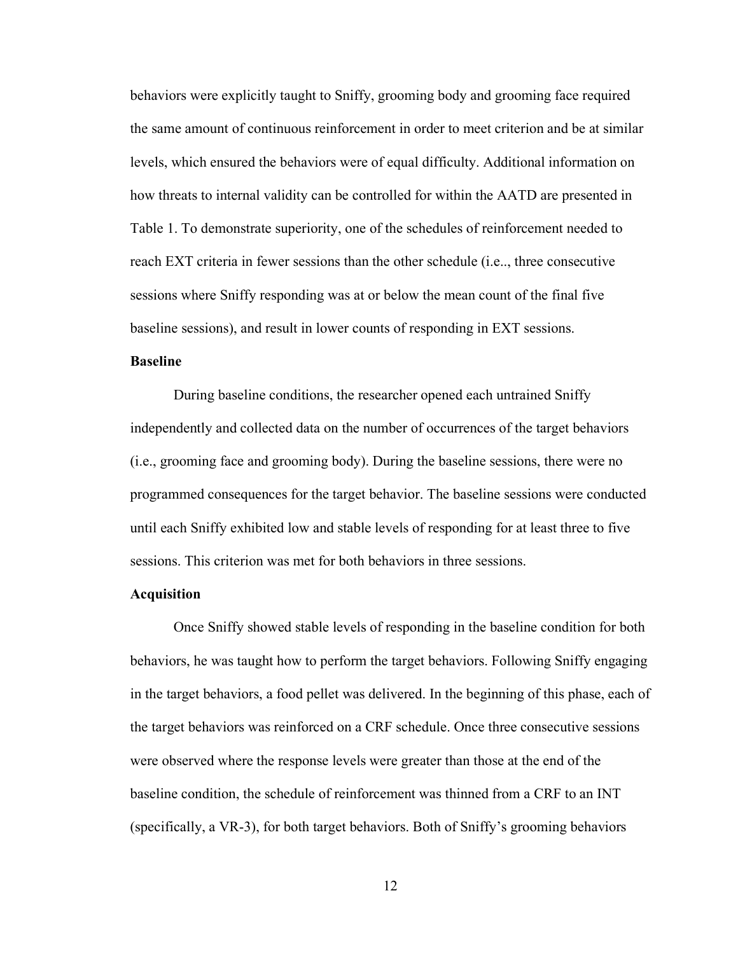behaviors were explicitly taught to Sniffy, grooming body and grooming face required the same amount of continuous reinforcement in order to meet criterion and be at similar levels, which ensured the behaviors were of equal difficulty. Additional information on how threats to internal validity can be controlled for within the AATD are presented in Table 1. To demonstrate superiority, one of the schedules of reinforcement needed to reach EXT criteria in fewer sessions than the other schedule (i.e.., three consecutive sessions where Sniffy responding was at or below the mean count of the final five baseline sessions), and result in lower counts of responding in EXT sessions.

#### <span id="page-20-0"></span>**Baseline**

During baseline conditions, the researcher opened each untrained Sniffy independently and collected data on the number of occurrences of the target behaviors (i.e., grooming face and grooming body). During the baseline sessions, there were no programmed consequences for the target behavior. The baseline sessions were conducted until each Sniffy exhibited low and stable levels of responding for at least three to five sessions. This criterion was met for both behaviors in three sessions.

#### <span id="page-20-1"></span>**Acquisition**

Once Sniffy showed stable levels of responding in the baseline condition for both behaviors, he was taught how to perform the target behaviors. Following Sniffy engaging in the target behaviors, a food pellet was delivered. In the beginning of this phase, each of the target behaviors was reinforced on a CRF schedule. Once three consecutive sessions were observed where the response levels were greater than those at the end of the baseline condition, the schedule of reinforcement was thinned from a CRF to an INT (specifically, a VR-3), for both target behaviors. Both of Sniffy's grooming behaviors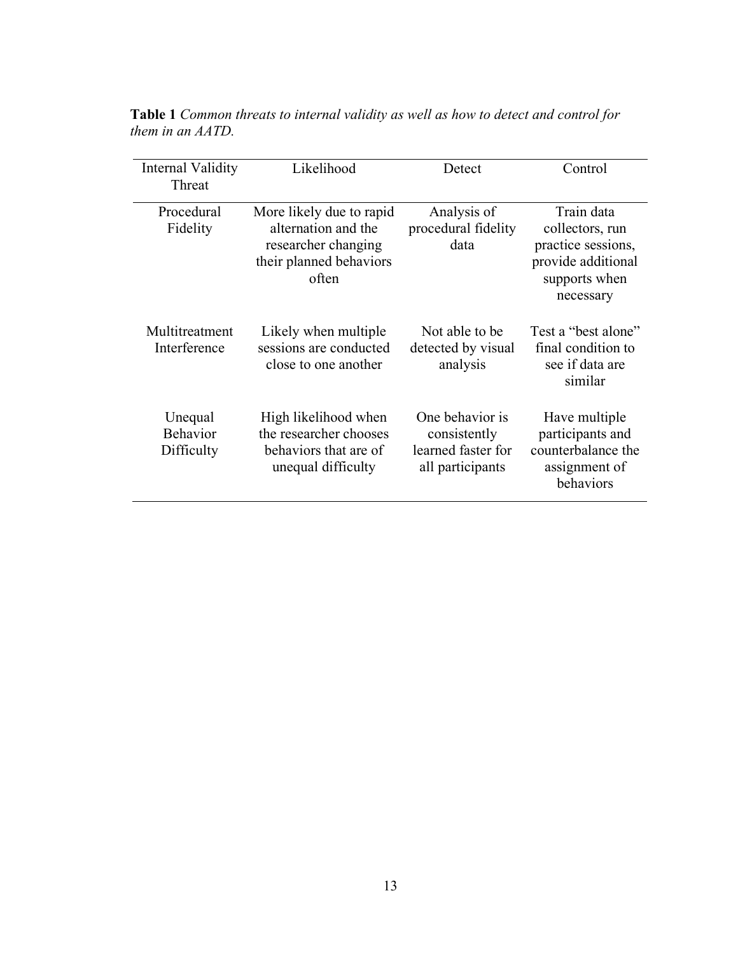| Internal Validity<br>Threat              | Likelihood                                                                                                 | Detect                                                                    | Control                                                                                                 |
|------------------------------------------|------------------------------------------------------------------------------------------------------------|---------------------------------------------------------------------------|---------------------------------------------------------------------------------------------------------|
| Procedural<br>Fidelity                   | More likely due to rapid<br>alternation and the<br>researcher changing<br>their planned behaviors<br>often | Analysis of<br>procedural fidelity<br>data                                | Train data<br>collectors, run<br>practice sessions,<br>provide additional<br>supports when<br>necessary |
| Multitreatment<br>Interference           | Likely when multiple<br>sessions are conducted<br>close to one another                                     | Not able to be<br>detected by visual<br>analysis                          | Test a "best alone"<br>final condition to<br>see if data are<br>similar                                 |
| Unequal<br><b>Behavior</b><br>Difficulty | High likelihood when<br>the researcher chooses<br>behaviors that are of<br>unequal difficulty              | One behavior is<br>consistently<br>learned faster for<br>all participants | Have multiple<br>participants and<br>counterbalance the<br>assignment of<br>behaviors                   |

<span id="page-21-0"></span>**Table 1** *Common threats to internal validity as well as how to detect and control for them in an AATD.*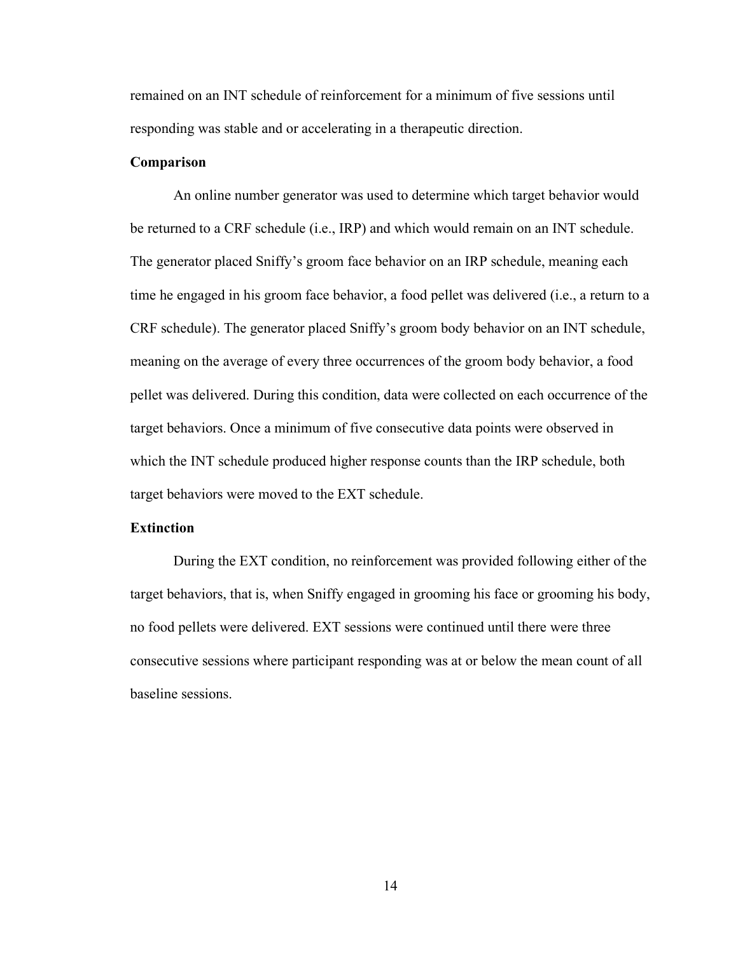remained on an INT schedule of reinforcement for a minimum of five sessions until responding was stable and or accelerating in a therapeutic direction.

#### <span id="page-22-0"></span>**Comparison**

An online number generator was used to determine which target behavior would be returned to a CRF schedule (i.e., IRP) and which would remain on an INT schedule. The generator placed Sniffy's groom face behavior on an IRP schedule, meaning each time he engaged in his groom face behavior, a food pellet was delivered (i.e., a return to a CRF schedule). The generator placed Sniffy's groom body behavior on an INT schedule, meaning on the average of every three occurrences of the groom body behavior, a food pellet was delivered. During this condition, data were collected on each occurrence of the target behaviors. Once a minimum of five consecutive data points were observed in which the INT schedule produced higher response counts than the IRP schedule, both target behaviors were moved to the EXT schedule.

#### <span id="page-22-1"></span>**Extinction**

During the EXT condition, no reinforcement was provided following either of the target behaviors, that is, when Sniffy engaged in grooming his face or grooming his body, no food pellets were delivered. EXT sessions were continued until there were three consecutive sessions where participant responding was at or below the mean count of all baseline sessions.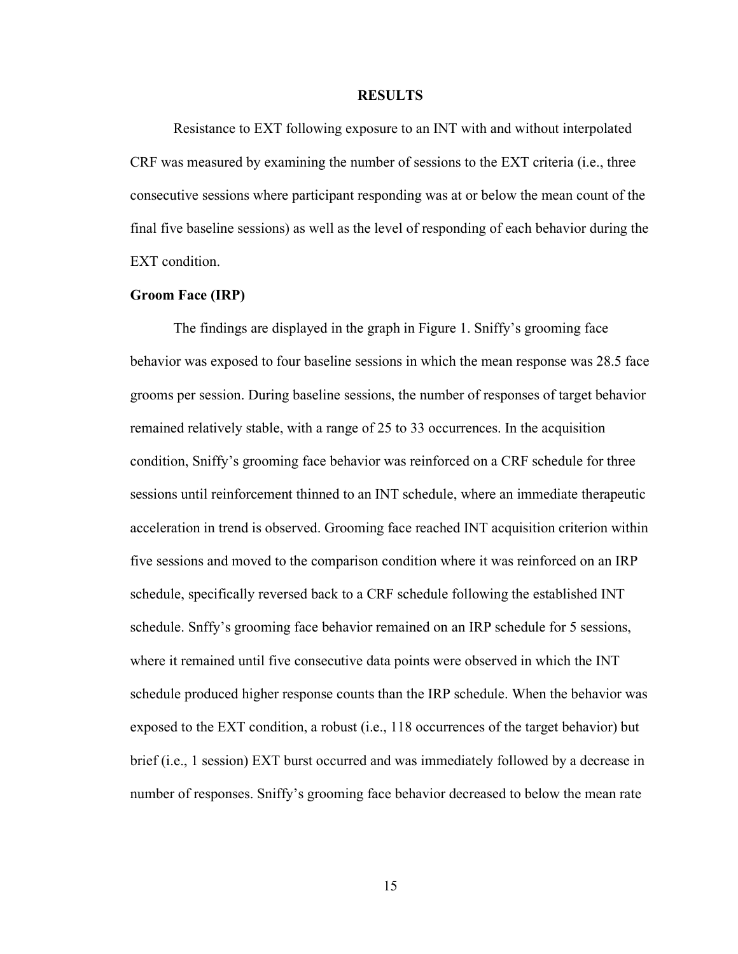#### **RESULTS**

<span id="page-23-0"></span>Resistance to EXT following exposure to an INT with and without interpolated CRF was measured by examining the number of sessions to the EXT criteria (i.e., three consecutive sessions where participant responding was at or below the mean count of the final five baseline sessions) as well as the level of responding of each behavior during the EXT condition.

#### <span id="page-23-1"></span>**Groom Face (IRP)**

The findings are displayed in the graph in Figure 1. Sniffy's grooming face behavior was exposed to four baseline sessions in which the mean response was 28.5 face grooms per session. During baseline sessions, the number of responses of target behavior remained relatively stable, with a range of 25 to 33 occurrences. In the acquisition condition, Sniffy's grooming face behavior was reinforced on a CRF schedule for three sessions until reinforcement thinned to an INT schedule, where an immediate therapeutic acceleration in trend is observed. Grooming face reached INT acquisition criterion within five sessions and moved to the comparison condition where it was reinforced on an IRP schedule, specifically reversed back to a CRF schedule following the established INT schedule. Snffy's grooming face behavior remained on an IRP schedule for 5 sessions, where it remained until five consecutive data points were observed in which the INT schedule produced higher response counts than the IRP schedule. When the behavior was exposed to the EXT condition, a robust (i.e., 118 occurrences of the target behavior) but brief (i.e., 1 session) EXT burst occurred and was immediately followed by a decrease in number of responses. Sniffy's grooming face behavior decreased to below the mean rate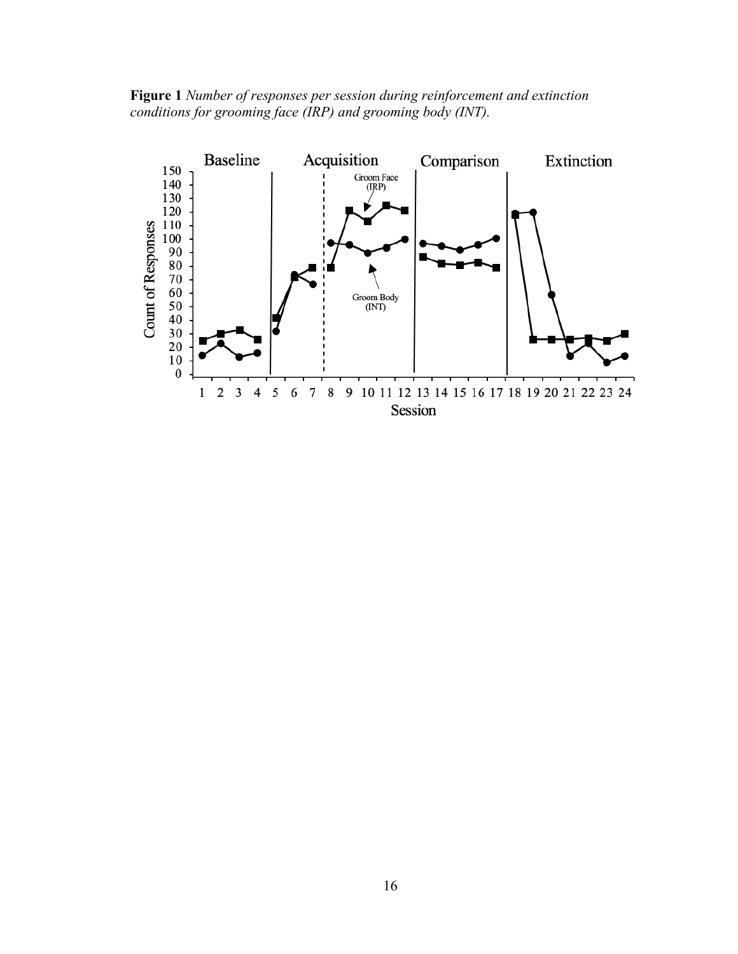<span id="page-24-0"></span>**Figure 1** *Number of responses per session during reinforcement and extinction conditions for grooming face (IRP) and grooming body (INT).*

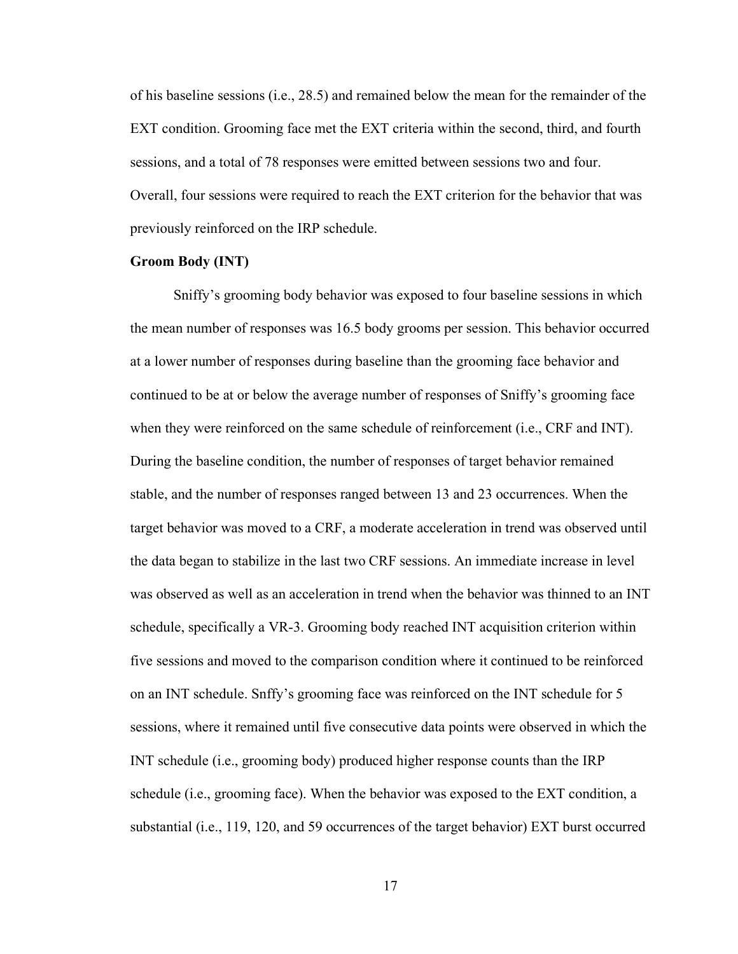of his baseline sessions (i.e., 28.5) and remained below the mean for the remainder of the EXT condition. Grooming face met the EXT criteria within the second, third, and fourth sessions, and a total of 78 responses were emitted between sessions two and four. Overall, four sessions were required to reach the EXT criterion for the behavior that was previously reinforced on the IRP schedule.

#### <span id="page-25-0"></span>**Groom Body (INT)**

Sniffy's grooming body behavior was exposed to four baseline sessions in which the mean number of responses was 16.5 body grooms per session. This behavior occurred at a lower number of responses during baseline than the grooming face behavior and continued to be at or below the average number of responses of Sniffy's grooming face when they were reinforced on the same schedule of reinforcement (i.e., CRF and INT). During the baseline condition, the number of responses of target behavior remained stable, and the number of responses ranged between 13 and 23 occurrences. When the target behavior was moved to a CRF, a moderate acceleration in trend was observed until the data began to stabilize in the last two CRF sessions. An immediate increase in level was observed as well as an acceleration in trend when the behavior was thinned to an INT schedule, specifically a VR-3. Grooming body reached INT acquisition criterion within five sessions and moved to the comparison condition where it continued to be reinforced on an INT schedule. Snffy's grooming face was reinforced on the INT schedule for 5 sessions, where it remained until five consecutive data points were observed in which the INT schedule (i.e., grooming body) produced higher response counts than the IRP schedule (i.e., grooming face). When the behavior was exposed to the EXT condition, a substantial (i.e., 119, 120, and 59 occurrences of the target behavior) EXT burst occurred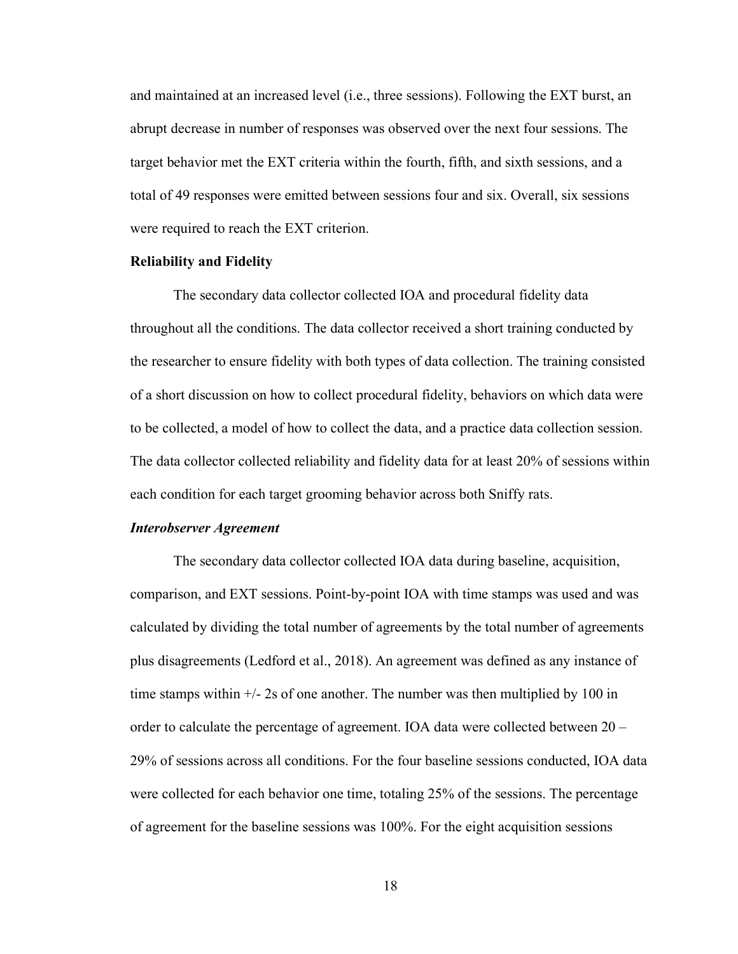and maintained at an increased level (i.e., three sessions). Following the EXT burst, an abrupt decrease in number of responses was observed over the next four sessions. The target behavior met the EXT criteria within the fourth, fifth, and sixth sessions, and a total of 49 responses were emitted between sessions four and six. Overall, six sessions were required to reach the EXT criterion.

#### <span id="page-26-0"></span>**Reliability and Fidelity**

The secondary data collector collected IOA and procedural fidelity data throughout all the conditions. The data collector received a short training conducted by the researcher to ensure fidelity with both types of data collection. The training consisted of a short discussion on how to collect procedural fidelity, behaviors on which data were to be collected, a model of how to collect the data, and a practice data collection session. The data collector collected reliability and fidelity data for at least 20% of sessions within each condition for each target grooming behavior across both Sniffy rats.

#### <span id="page-26-1"></span>*Interobserver Agreement*

The secondary data collector collected IOA data during baseline, acquisition, comparison, and EXT sessions. Point-by-point IOA with time stamps was used and was calculated by dividing the total number of agreements by the total number of agreements plus disagreements (Ledford et al., 2018). An agreement was defined as any instance of time stamps within  $\frac{+}{2}$  s of one another. The number was then multiplied by 100 in order to calculate the percentage of agreement. IOA data were collected between 20 – 29% of sessions across all conditions. For the four baseline sessions conducted, IOA data were collected for each behavior one time, totaling 25% of the sessions. The percentage of agreement for the baseline sessions was 100%. For the eight acquisition sessions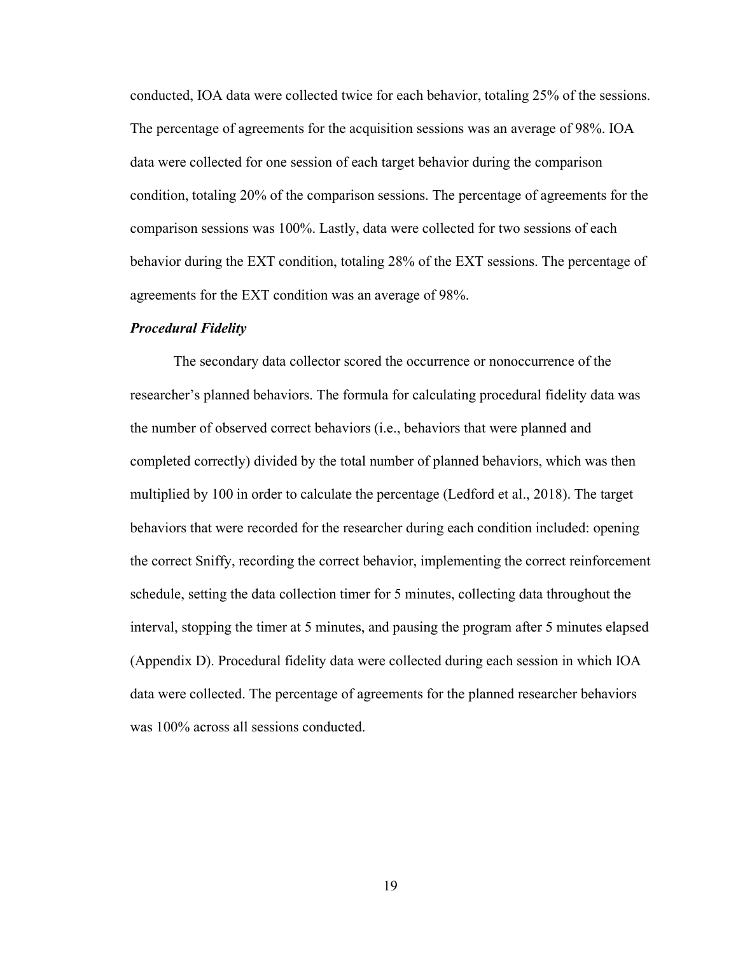conducted, IOA data were collected twice for each behavior, totaling 25% of the sessions. The percentage of agreements for the acquisition sessions was an average of 98%. IOA data were collected for one session of each target behavior during the comparison condition, totaling 20% of the comparison sessions. The percentage of agreements for the comparison sessions was 100%. Lastly, data were collected for two sessions of each behavior during the EXT condition, totaling 28% of the EXT sessions. The percentage of agreements for the EXT condition was an average of 98%.

#### <span id="page-27-0"></span>*Procedural Fidelity*

The secondary data collector scored the occurrence or nonoccurrence of the researcher's planned behaviors. The formula for calculating procedural fidelity data was the number of observed correct behaviors (i.e., behaviors that were planned and completed correctly) divided by the total number of planned behaviors, which was then multiplied by 100 in order to calculate the percentage (Ledford et al., 2018). The target behaviors that were recorded for the researcher during each condition included: opening the correct Sniffy, recording the correct behavior, implementing the correct reinforcement schedule, setting the data collection timer for 5 minutes, collecting data throughout the interval, stopping the timer at 5 minutes, and pausing the program after 5 minutes elapsed (Appendix D). Procedural fidelity data were collected during each session in which IOA data were collected. The percentage of agreements for the planned researcher behaviors was 100% across all sessions conducted.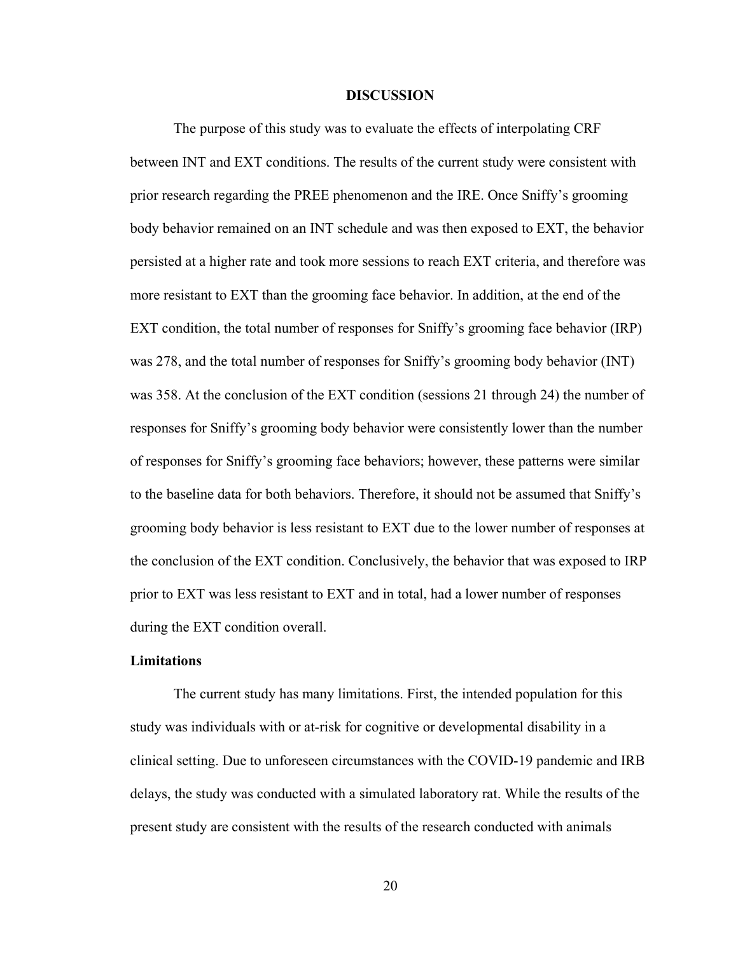#### **DISCUSSION**

<span id="page-28-0"></span>The purpose of this study was to evaluate the effects of interpolating CRF between INT and EXT conditions. The results of the current study were consistent with prior research regarding the PREE phenomenon and the IRE. Once Sniffy's grooming body behavior remained on an INT schedule and was then exposed to EXT, the behavior persisted at a higher rate and took more sessions to reach EXT criteria, and therefore was more resistant to EXT than the grooming face behavior. In addition, at the end of the EXT condition, the total number of responses for Sniffy's grooming face behavior (IRP) was 278, and the total number of responses for Sniffy's grooming body behavior (INT) was 358. At the conclusion of the EXT condition (sessions 21 through 24) the number of responses for Sniffy's grooming body behavior were consistently lower than the number of responses for Sniffy's grooming face behaviors; however, these patterns were similar to the baseline data for both behaviors. Therefore, it should not be assumed that Sniffy's grooming body behavior is less resistant to EXT due to the lower number of responses at the conclusion of the EXT condition. Conclusively, the behavior that was exposed to IRP prior to EXT was less resistant to EXT and in total, had a lower number of responses during the EXT condition overall.

#### <span id="page-28-1"></span>**Limitations**

The current study has many limitations. First, the intended population for this study was individuals with or at-risk for cognitive or developmental disability in a clinical setting. Due to unforeseen circumstances with the COVID-19 pandemic and IRB delays, the study was conducted with a simulated laboratory rat. While the results of the present study are consistent with the results of the research conducted with animals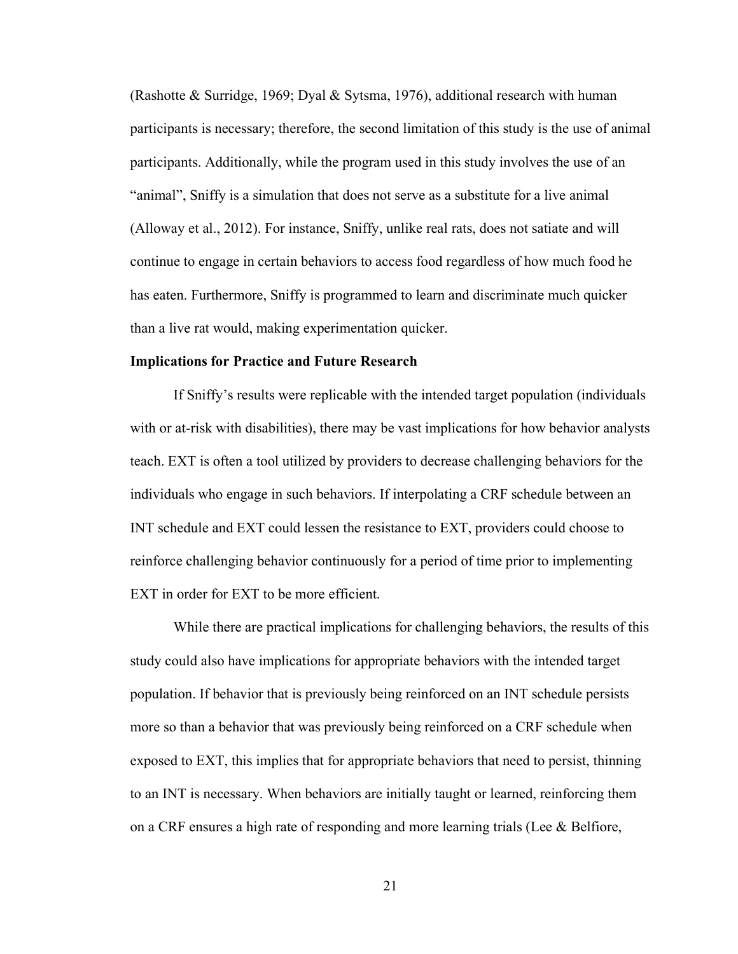(Rashotte & Surridge, 1969; Dyal & Sytsma, 1976), additional research with human participants is necessary; therefore, the second limitation of this study is the use of animal participants. Additionally, while the program used in this study involves the use of an "animal", Sniffy is a simulation that does not serve as a substitute for a live animal (Alloway et al., 2012). For instance, Sniffy, unlike real rats, does not satiate and will continue to engage in certain behaviors to access food regardless of how much food he has eaten. Furthermore, Sniffy is programmed to learn and discriminate much quicker than a live rat would, making experimentation quicker.

#### <span id="page-29-0"></span>**Implications for Practice and Future Research**

If Sniffy's results were replicable with the intended target population (individuals with or at-risk with disabilities), there may be vast implications for how behavior analysts teach. EXT is often a tool utilized by providers to decrease challenging behaviors for the individuals who engage in such behaviors. If interpolating a CRF schedule between an INT schedule and EXT could lessen the resistance to EXT, providers could choose to reinforce challenging behavior continuously for a period of time prior to implementing EXT in order for EXT to be more efficient.

While there are practical implications for challenging behaviors, the results of this study could also have implications for appropriate behaviors with the intended target population. If behavior that is previously being reinforced on an INT schedule persists more so than a behavior that was previously being reinforced on a CRF schedule when exposed to EXT, this implies that for appropriate behaviors that need to persist, thinning to an INT is necessary. When behaviors are initially taught or learned, reinforcing them on a CRF ensures a high rate of responding and more learning trials (Lee & Belfiore,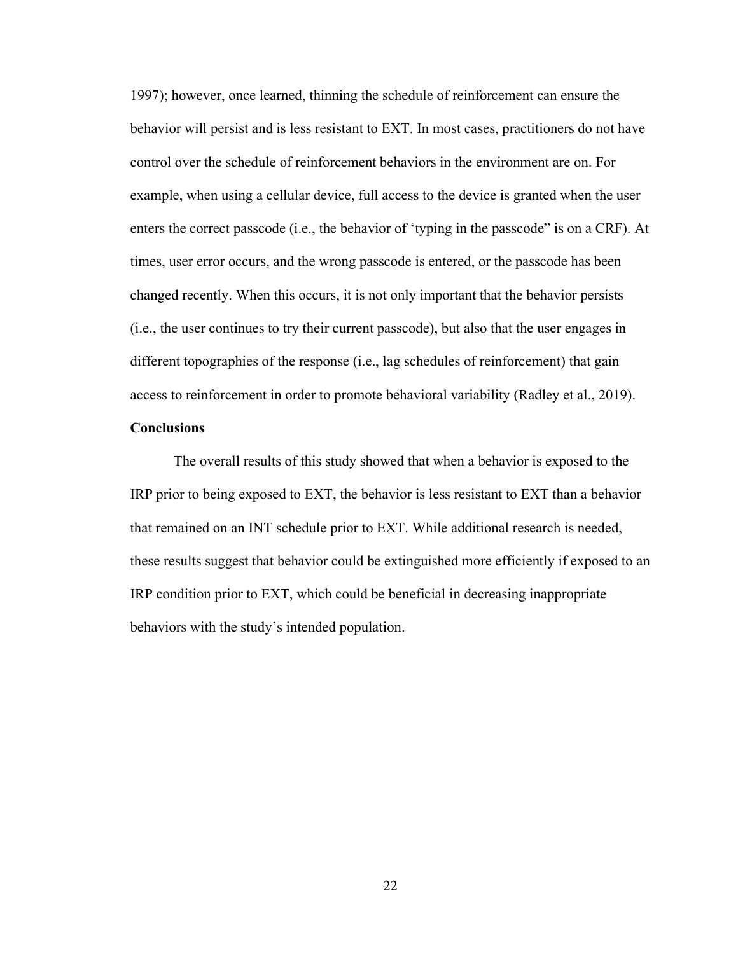1997); however, once learned, thinning the schedule of reinforcement can ensure the behavior will persist and is less resistant to EXT. In most cases, practitioners do not have control over the schedule of reinforcement behaviors in the environment are on. For example, when using a cellular device, full access to the device is granted when the user enters the correct passcode (i.e., the behavior of 'typing in the passcode" is on a CRF). At times, user error occurs, and the wrong passcode is entered, or the passcode has been changed recently. When this occurs, it is not only important that the behavior persists (i.e., the user continues to try their current passcode), but also that the user engages in different topographies of the response (i.e., lag schedules of reinforcement) that gain access to reinforcement in order to promote behavioral variability (Radley et al., 2019).

### <span id="page-30-0"></span>**Conclusions**

The overall results of this study showed that when a behavior is exposed to the IRP prior to being exposed to EXT, the behavior is less resistant to EXT than a behavior that remained on an INT schedule prior to EXT. While additional research is needed, these results suggest that behavior could be extinguished more efficiently if exposed to an IRP condition prior to EXT, which could be beneficial in decreasing inappropriate behaviors with the study's intended population.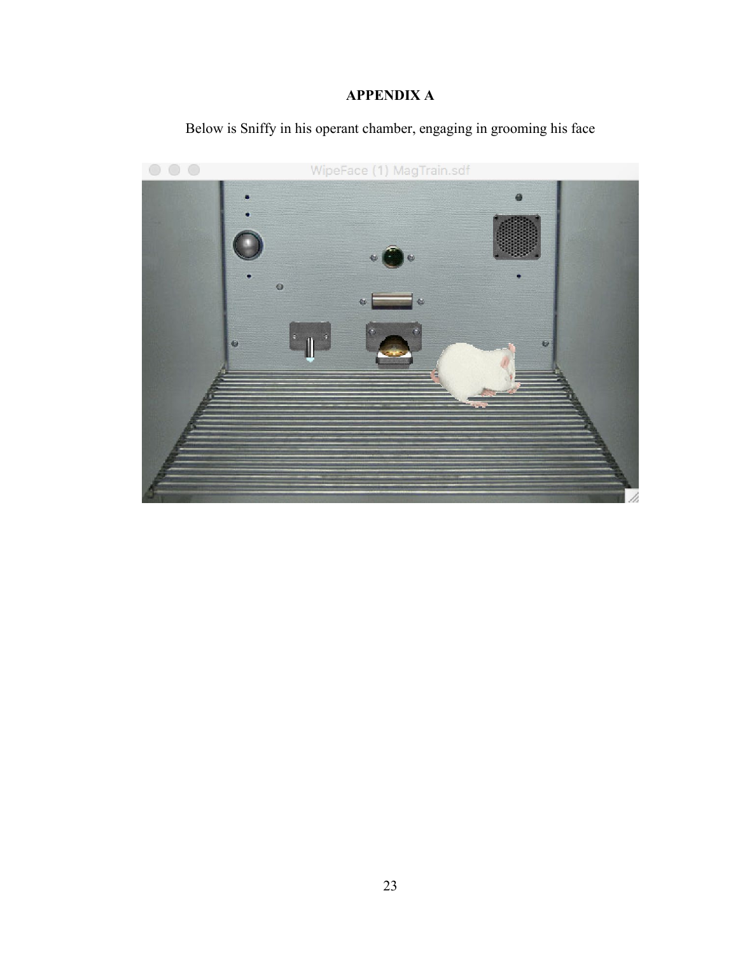# **APPENDIX A**

<span id="page-31-0"></span>

Below is Sniffy in his operant chamber, engaging in grooming his face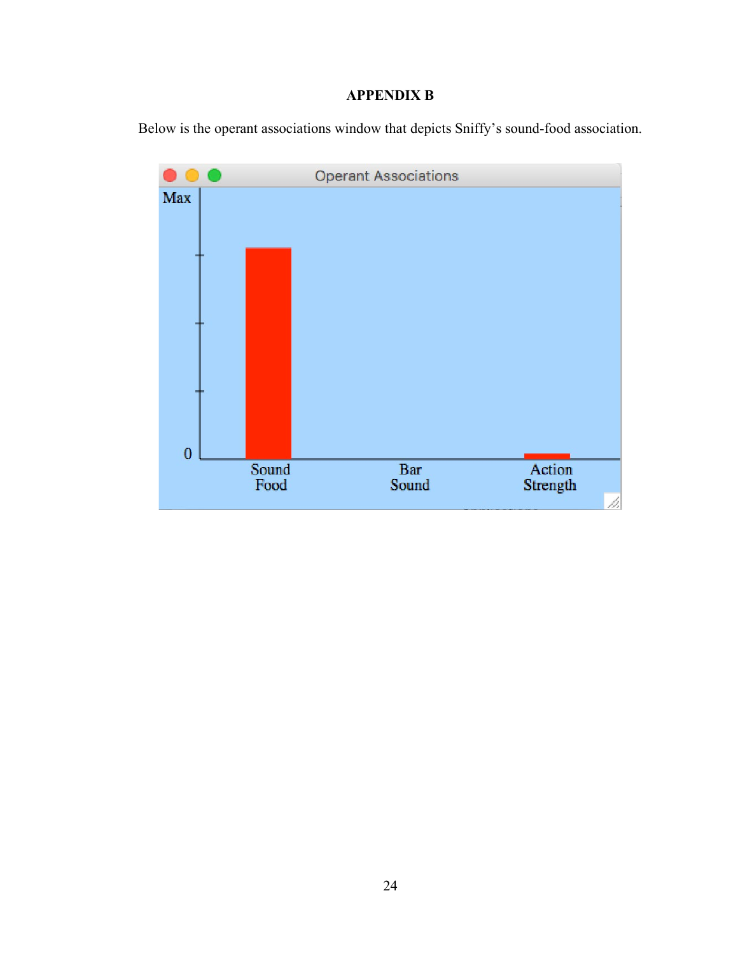# **APPENDIX B**

<span id="page-32-0"></span>Below is the operant associations window that depicts Sniffy's sound-food association.

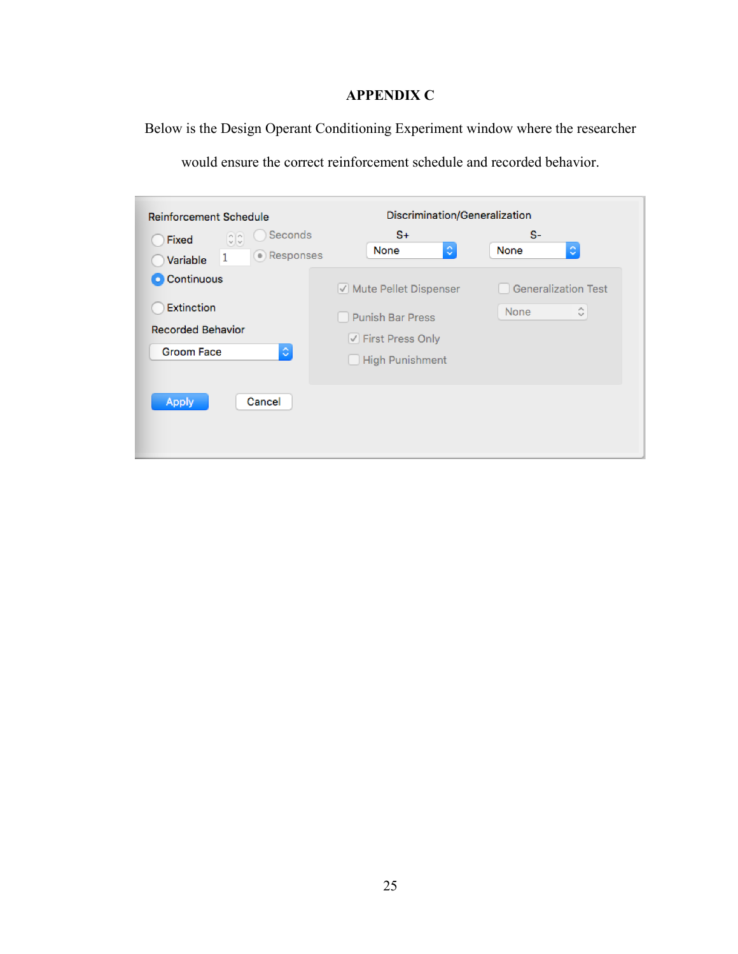# **APPENDIX C**

<span id="page-33-0"></span>Below is the Design Operant Conditioning Experiment window where the researcher

| Reinforcement Schedule                                                                  | Discrimination/Generalization                                                                    |                                         |  |  |
|-----------------------------------------------------------------------------------------|--------------------------------------------------------------------------------------------------|-----------------------------------------|--|--|
| Seconds<br>$\frac{1}{2}$<br><b>Fixed</b><br>(.) Responses<br>1<br>Variable              | $S+$<br>¢<br>None                                                                                | $S-$<br>¢<br>None                       |  |  |
| C Continuous<br><b>Extinction</b><br><b>Recorded Behavior</b><br>¢<br><b>Groom Face</b> | Mute Pellet Dispenser<br><b>Punish Bar Press</b><br>◯ First Press Only<br><b>High Punishment</b> | <b>Generalization Test</b><br>्<br>None |  |  |
| Cancel<br>Apply                                                                         |                                                                                                  |                                         |  |  |

would ensure the correct reinforcement schedule and recorded behavior.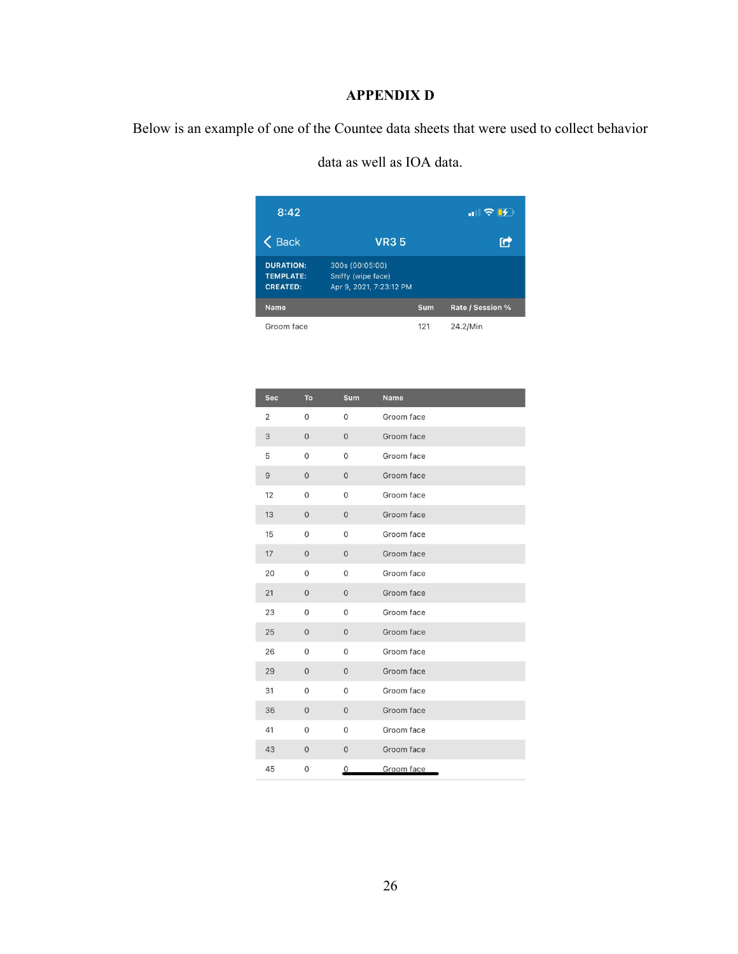# **APPENDIX D**

<span id="page-34-0"></span>Below is an example of one of the Countee data sheets that were used to collect behavior

| 8:42                                                    |                                                                  |     | $\blacksquare$ $\triangleright$ $\blacksquare$ |
|---------------------------------------------------------|------------------------------------------------------------------|-----|------------------------------------------------|
| <b>Back</b>                                             | <b>VR35</b>                                                      |     | r                                              |
| <b>DURATION:</b><br><b>TEMPLATE:</b><br><b>CREATED:</b> | 300s (00:05:00)<br>Sniffy (wipe face)<br>Apr 9, 2021, 7:23:12 PM |     |                                                |
| <b>Name</b>                                             |                                                                  | Sum | Rate / Session %                               |
| Groom face                                              |                                                                  | 121 | 24.2/Min                                       |

data as well as IOA data.

| <b>Sec</b>     | To           | <b>Sum</b>     | <b>Name</b> |
|----------------|--------------|----------------|-------------|
| $\overline{2}$ | $\mathbf{0}$ | $\mathbf 0$    | Groom face  |
| 3              | $\Omega$     | $\mathbf{0}$   | Groom face  |
| 5              | $\Omega$     | $\Omega$       | Groom face  |
| 9              | $\mathbf{0}$ | $\mathbf{0}$   | Groom face  |
| 12             | $\mathbf{0}$ | 0              | Groom face  |
| 13             | $\mathbf{0}$ | $\mathbf{0}$   | Groom face  |
| 15             | $\mathbf{0}$ | $\mathbf{0}$   | Groom face  |
| 17             | $\mathbf{0}$ | $\overline{0}$ | Groom face  |
| 20             | $\mathbf{0}$ | $\mathbf{0}$   | Groom face  |
| 21             | $\mathbf{0}$ | $\mathbf{0}$   | Groom face  |
| 23             | $\mathbf{0}$ | $\mathbf{0}$   | Groom face  |
| 25             | $\mathbf{0}$ | $\mathbf{0}$   | Groom face  |
| 26             | $\mathbf 0$  | 0              | Groom face  |
| 29             | $\mathbf{0}$ | $\mathbf{0}$   | Groom face  |
| 31             | $\mathbf{0}$ | $\overline{0}$ | Groom face  |
| 36             | $\mathbf{0}$ | $\mathbf{0}$   | Groom face  |
| 41             | $\mathbf 0$  | $\mathbf 0$    | Groom face  |
| 43             | $\mathbf{0}$ | $\mathbf{0}$   | Groom face  |
| 45             | $\mathbf{0}$ | $\mathbf 0$    | Groom face  |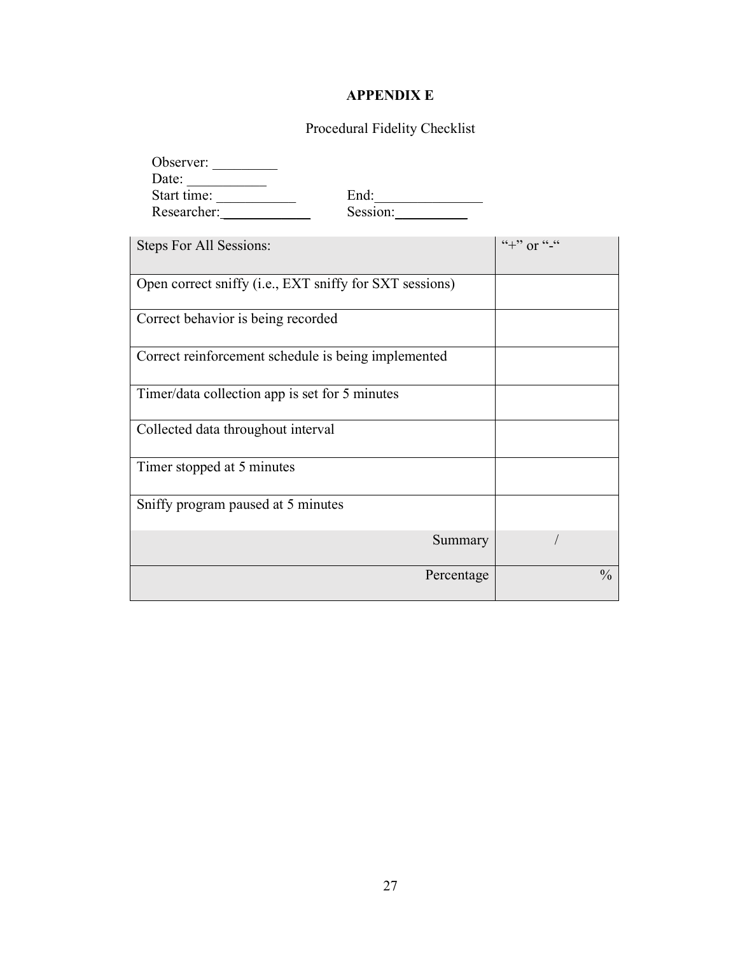# **APPENDIX E**

# Procedural Fidelity Checklist

<span id="page-35-0"></span>

| Observer:                                               |            |                  |
|---------------------------------------------------------|------------|------------------|
| Date:                                                   |            |                  |
| Start time:                                             | End:       |                  |
| Researcher:                                             | Session:   |                  |
| Steps For All Sessions:                                 |            | $``+"$ or $``-"$ |
| Open correct sniffy (i.e., EXT sniffy for SXT sessions) |            |                  |
| Correct behavior is being recorded                      |            |                  |
| Correct reinforcement schedule is being implemented     |            |                  |
| Timer/data collection app is set for 5 minutes          |            |                  |
| Collected data throughout interval                      |            |                  |
| Timer stopped at 5 minutes                              |            |                  |
| Sniffy program paused at 5 minutes                      |            |                  |
|                                                         | Summary    |                  |
|                                                         | Percentage | $\frac{0}{0}$    |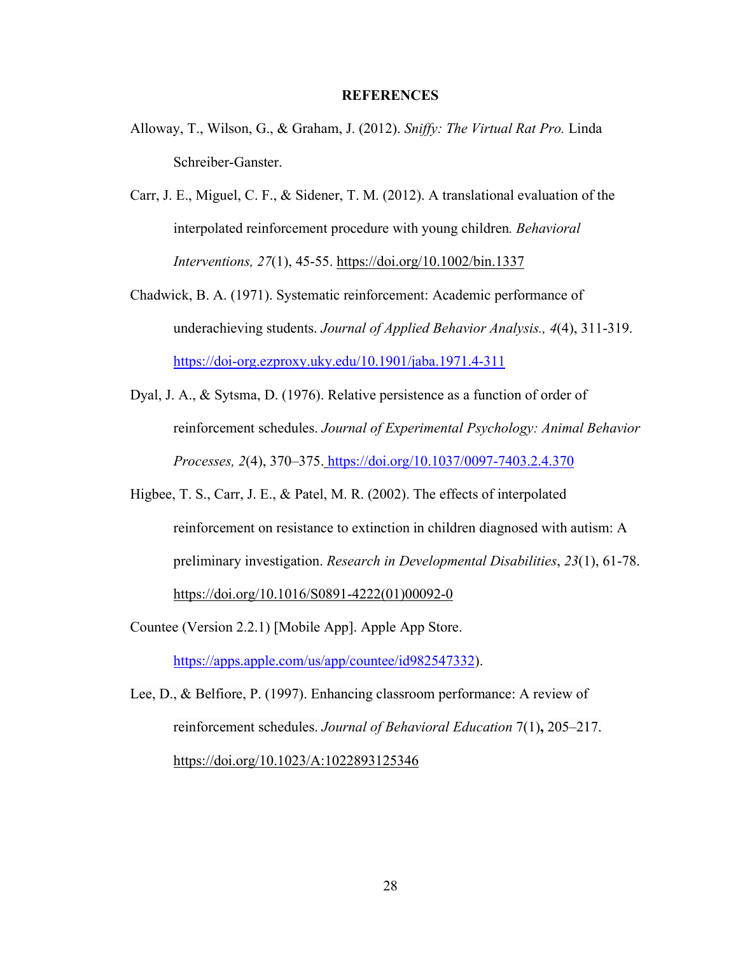#### **REFERENCES**

- <span id="page-36-0"></span>Alloway, T., Wilson, G., & Graham, J. (2012). *Sniffy: The Virtual Rat Pro.* Linda Schreiber-Ganster.
- Carr, J. E., Miguel, C. F., & Sidener, T. M. (2012). A translational evaluation of the interpolated reinforcement procedure with young children*. Behavioral Interventions, 27*(1), 45-55.<https://doi.org/10.1002/bin.1337>
- Chadwick, B. A. (1971). Systematic reinforcement: Academic performance of underachieving students. *Journal of Applied Behavior Analysis., 4*(4), 311-319. <https://doi-org.ezproxy.uky.edu/10.1901/jaba.1971.4-311>
- Dyal, J. A., & Sytsma, D. (1976). Relative persistence as a function of order of reinforcement schedules. *Journal of Experimental Psychology: Animal Behavior Processes, 2*(4), 370–375. [https://doi.org/10.1037/0097-7403.2.4.370](https://psycnet.apa.org/doi/10.1037/0097-7403.2.4.370)
- Higbee, T. S., Carr, J. E., & Patel, M. R. (2002). The effects of interpolated reinforcement on resistance to extinction in children diagnosed with autism: A preliminary investigation. *Research in Developmental Disabilities*, *23*(1), 61-78. [https://doi.org/10.1016/S0891-4222\(01\)00092-0](https://doi.org/10.1016/S0891-4222(01)00092-0)
- Countee (Version 2.2.1) [Mobile App]. Apple App Store.

[https://apps.apple.com/us/app/countee/id982547332\)](https://apps.apple.com/us/app/countee/id982547332).

Lee, D., & Belfiore, P. (1997). Enhancing classroom performance: A review of reinforcement schedules. *Journal of Behavioral Education* 7(1)**,** 205–217. <https://doi.org/10.1023/A:1022893125346>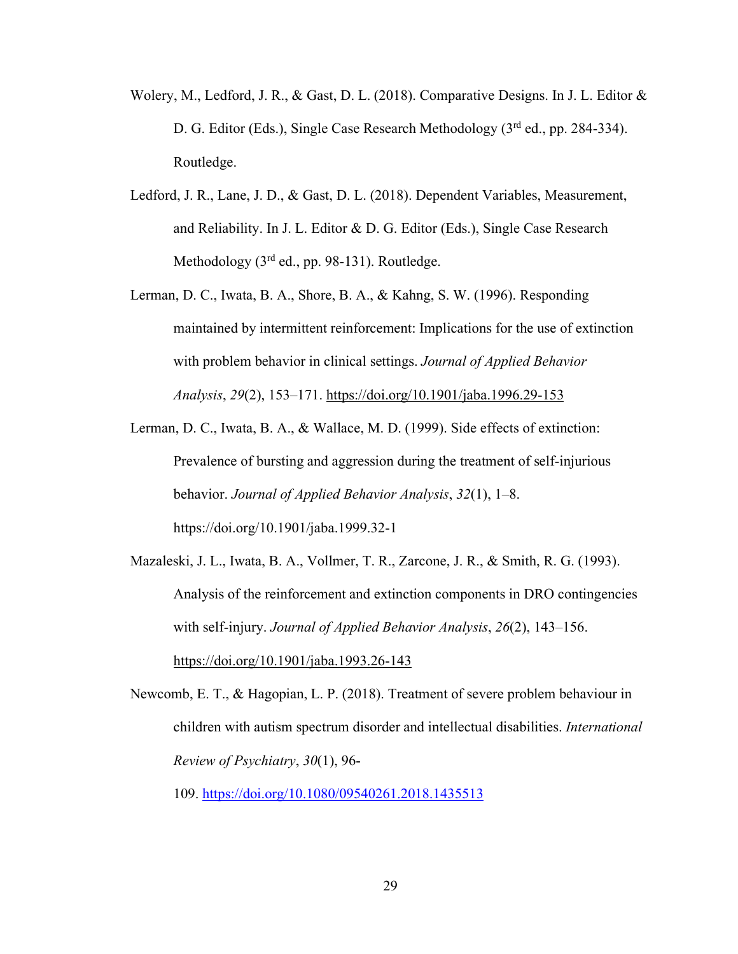- Wolery, M., Ledford, J. R., & Gast, D. L. (2018). Comparative Designs. In J. L. Editor & D. G. Editor (Eds.), Single Case Research Methodology (3<sup>rd</sup> ed., pp. 284-334). Routledge.
- Ledford, J. R., Lane, J. D., & Gast, D. L. (2018). Dependent Variables, Measurement, and Reliability. In J. L. Editor & D. G. Editor (Eds.), Single Case Research Methodology (3<sup>rd</sup> ed., pp. 98-131). Routledge.
- Lerman, D. C., Iwata, B. A., Shore, B. A., & Kahng, S. W. (1996). Responding maintained by intermittent reinforcement: Implications for the use of extinction with problem behavior in clinical settings. *Journal of Applied Behavior Analysis*, *29*(2), 153–171.<https://doi.org/10.1901/jaba.1996.29-153>
- Lerman, D. C., Iwata, B. A., & Wallace, M. D. (1999). Side effects of extinction: Prevalence of bursting and aggression during the treatment of self-injurious behavior. *Journal of Applied Behavior Analysis*, *32*(1), 1–8. https://doi.org/10.1901/jaba.1999.32-1

Mazaleski, J. L., Iwata, B. A., Vollmer, T. R., Zarcone, J. R., & Smith, R. G. (1993). Analysis of the reinforcement and extinction components in DRO contingencies with self-injury. *Journal of Applied Behavior Analysis*, *26*(2), 143–156. <https://doi.org/10.1901/jaba.1993.26-143>

Newcomb, E. T., & Hagopian, L. P. (2018). Treatment of severe problem behaviour in children with autism spectrum disorder and intellectual disabilities. *International Review of Psychiatry*, *30*(1), 96-

109. <https://doi.org/10.1080/09540261.2018.1435513>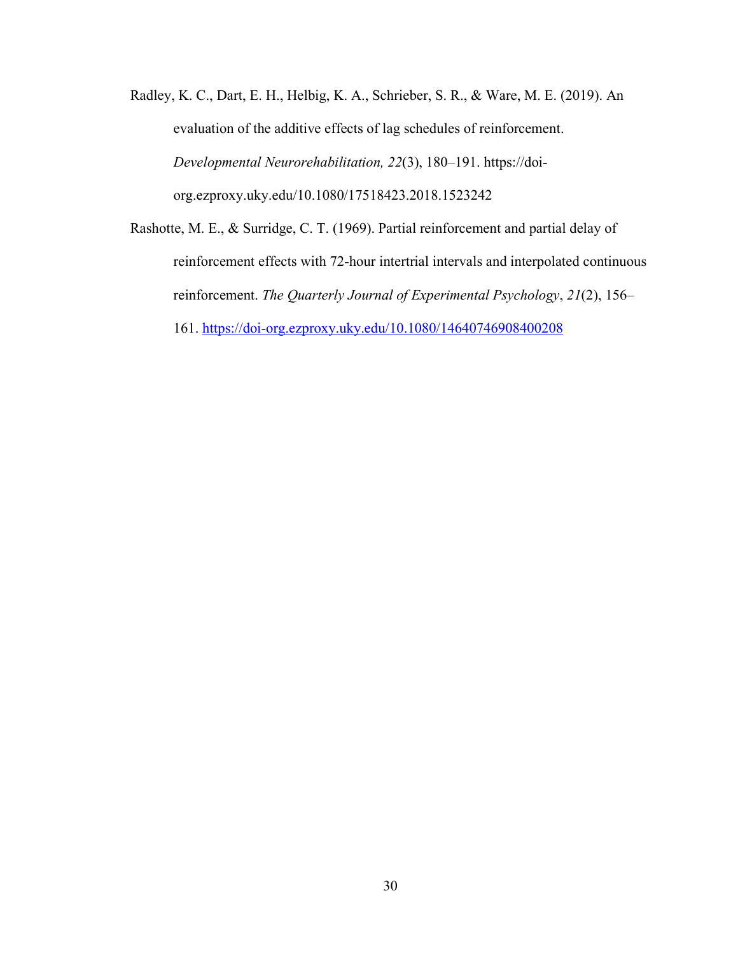- Radley, K. C., Dart, E. H., Helbig, K. A., Schrieber, S. R., & Ware, M. E. (2019). An evaluation of the additive effects of lag schedules of reinforcement. *Developmental Neurorehabilitation, 22*(3), 180–191. https://doiorg.ezproxy.uky.edu/10.1080/17518423.2018.1523242
- Rashotte, M. E., & Surridge, C. T. (1969). Partial reinforcement and partial delay of reinforcement effects with 72-hour intertrial intervals and interpolated continuous reinforcement. *The Quarterly Journal of Experimental Psychology*, *21*(2), 156– 161.<https://doi-org.ezproxy.uky.edu/10.1080/14640746908400208>